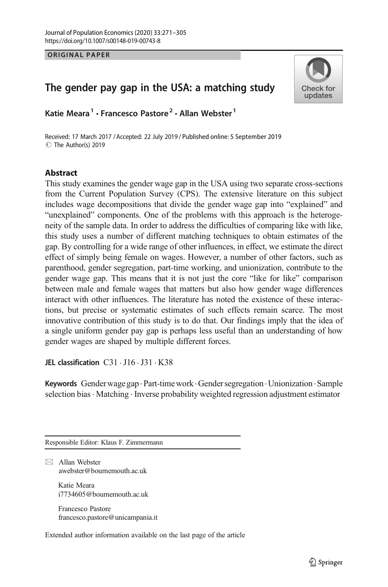**ORIGINAL PAPER** 

# Check for updates

# The gender pay gap in the USA: a matching study

Katie Meara<sup>1</sup> · Francesco Pastore<sup>2</sup> · Allan Webster<sup>1</sup>

Received: 17 March 2017 / Accepted: 22 July 2019 / Published online: 5 September 2019C The Author(s) 2019

# **Abstract**

This study examines the gender wage gap in the USA using two separate cross-sections from the Current Population Survey (CPS). The extensive literature on this subject includes wage decompositions that divide the gender wage gap into "explained" and "unexplained" components. One of the problems with this approach is the heterogeneity of the sample data. In order to address the difficulties of comparing like with like, this study uses a number of different matching techniques to obtain estimates of the gap. By controlling for a wide range of other influences, in effect, we estimate the direct effect of simply being female on wages. However, a number of other factors, such as parenthood, gender segregation, part-time working, and unionization, contribute to the gender wage gap. This means that it is not just the core "like for like" comparison between male and female wages that matters but also how gender wage differences interact with other influences. The literature has noted the existence of these interactions, but precise or systematic estimates of such effects remain scarce. The most innovative contribution of this study is to do that. Our findings imply that the idea of a single uniform gender pay gap is perhaps less useful than an understanding of how gender wages are shaped by multiple different forces.

JEL classification  $C31 \cdot J16 \cdot J31 \cdot K38$ 

Keywords Genderwage gap.Part-timework.Gender segregation .Unionization.Sample selection bias · Matching · Inverse probability weighted regression adjustment estimator

Responsible Editor: Klaus F. Zimmermann

 $\boxtimes$  Allan Webster [awebster@bournemouth.ac.uk](mailto:awebster@bournemouth.ac.uk)

> Katie Meara i7734605@bournemouth.ac.uk

Francesco Pastore francesco.pastore@unicampania.it

Extended author information available on the last page of the article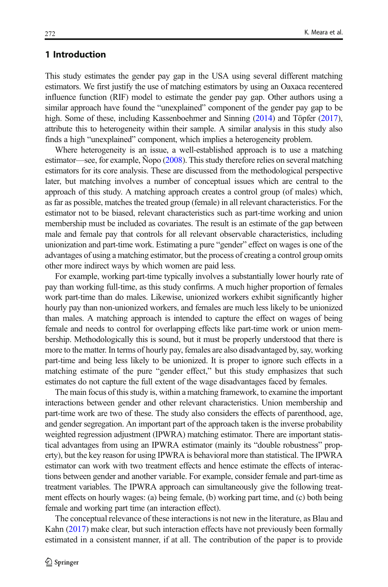# 1 Introduction

This study estimates the gender pay gap in the USA using several different matching estimators. We first justify the use of matching estimators by using an Oaxaca recentered influence function (RIF) model to estimate the gender pay gap. Other authors using a similar approach have found the "unexplained" component of the gender pay gap to be high. Some of these, including Kassenboehmer and Sinning [\(2014\)](#page-34-0) and Töpfer ([2017\)](#page-34-0), attribute this to heterogeneity within their sample. A similar analysis in this study also finds a high "unexplained" component, which implies a heterogeneity problem.

Where heterogeneity is an issue, a well-established approach is to use a matching estimator—see, for example, Ñopo [\(2008\)](#page-34-0). This study therefore relies on several matching estimators for its core analysis. These are discussed from the methodological perspective later, but matching involves a number of conceptual issues which are central to the approach of this study. A matching approach creates a control group (of males) which, as far as possible, matches the treated group (female) in all relevant characteristics. For the estimator not to be biased, relevant characteristics such as part-time working and union membership must be included as covariates. The result is an estimate of the gap between male and female pay that controls for all relevant observable characteristics, including unionization and part-time work. Estimating a pure "gender" effect on wages is one of the advantages of using a matching estimator, but the process of creating a control group omits other more indirect ways by which women are paid less.

For example, working part-time typically involves a substantially lower hourly rate of pay than working full-time, as this study confirms. A much higher proportion of females work part-time than do males. Likewise, unionized workers exhibit significantly higher hourly pay than non-unionized workers, and females are much less likely to be unionized than males. A matching approach is intended to capture the effect on wages of being female and needs to control for overlapping effects like part-time work or union membership. Methodologically this is sound, but it must be properly understood that there is more to the matter. In terms of hourly pay, females are also disadvantaged by, say, working part-time and being less likely to be unionized. It is proper to ignore such effects in a matching estimate of the pure "gender effect," but this study emphasizes that such estimates do not capture the full extent of the wage disadvantages faced by females.

The main focus of this study is, within a matching framework, to examine the important interactions between gender and other relevant characteristics. Union membership and part-time work are two of these. The study also considers the effects of parenthood, age, and gender segregation. An important part of the approach taken is the inverse probability weighted regression adjustment (IPWRA) matching estimator. There are important statistical advantages from using an IPWRA estimator (mainly its "double robustness" property), but the key reason for using IPWRA is behavioral more than statistical. The IPWRA estimator can work with two treatment effects and hence estimate the effects of interactions between gender and another variable. For example, consider female and part-time as treatment variables. The IPWRA approach can simultaneously give the following treatment effects on hourly wages: (a) being female, (b) working part time, and (c) both being female and working part time (an interaction effect).

The conceptual relevance of these interactions is not new in the literature, as Blau and Kahn ([2017](#page-33-0)) make clear, but such interaction effects have not previously been formally estimated in a consistent manner, if at all. The contribution of the paper is to provide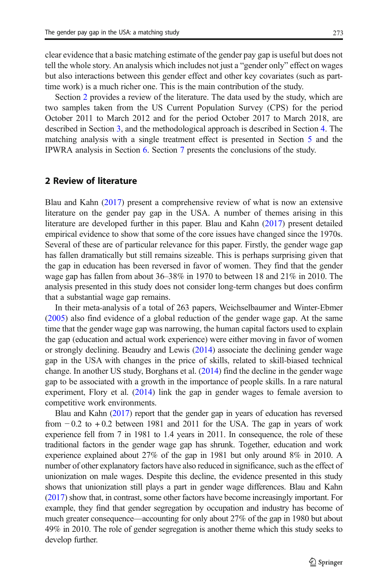clear evidence that a basic matching estimate of the gender pay gap is useful but does not tell the whole story. An analysis which includes not just a "gender only" effect on wages but also interactions between this gender effect and other key covariates (such as parttime work) is a much richer one. This is the main contribution of the study.

Section 2 provides a review of the literature. The data used by the study, which are two samples taken from the US Current Population Survey (CPS) for the period October 2011 to March 2012 and for the period October 2017 to March 2018, are described in Section [3,](#page-5-0) and the methodological approach is described in Section [4](#page-9-0). The matching analysis with a single treatment effect is presented in Section [5](#page-13-0) and the IPWRA analysis in Section [6.](#page-22-0) Section [7](#page-30-0) presents the conclusions of the study.

# 2 Review of literature

Blau and Kahn [\(2017\)](#page-33-0) present a comprehensive review of what is now an extensive literature on the gender pay gap in the USA. A number of themes arising in this literature are developed further in this paper. Blau and Kahn [\(2017\)](#page-33-0) present detailed empirical evidence to show that some of the core issues have changed since the 1970s. Several of these are of particular relevance for this paper. Firstly, the gender wage gap has fallen dramatically but still remains sizeable. This is perhaps surprising given that the gap in education has been reversed in favor of women. They find that the gender wage gap has fallen from about 36–38% in 1970 to between 18 and 21% in 2010. The analysis presented in this study does not consider long-term changes but does confirm that a substantial wage gap remains.

In their meta-analysis of a total of 263 papers, Weichselbaumer and Winter-Ebmer [\(2005\)](#page-34-0) also find evidence of a global reduction of the gender wage gap. At the same time that the gender wage gap was narrowing, the human capital factors used to explain the gap (education and actual work experience) were either moving in favor of women or strongly declining. Beaudry and Lewis [\(2014\)](#page-33-0) associate the declining gender wage gap in the USA with changes in the price of skills, related to skill-biased technical change. In another US study, Borghans et al. [\(2014\)](#page-33-0) find the decline in the gender wage gap to be associated with a growth in the importance of people skills. In a rare natural experiment, Flory et al. [\(2014\)](#page-33-0) link the gap in gender wages to female aversion to competitive work environments.

Blau and Kahn [\(2017\)](#page-33-0) report that the gender gap in years of education has reversed from  $-0.2$  to  $+0.2$  between 1981 and 2011 for the USA. The gap in years of work experience fell from 7 in 1981 to 1.4 years in 2011. In consequence, the role of these traditional factors in the gender wage gap has shrunk. Together, education and work experience explained about 27% of the gap in 1981 but only around 8% in 2010. A number of other explanatory factors have also reduced in significance, such as the effect of unionization on male wages. Despite this decline, the evidence presented in this study shows that unionization still plays a part in gender wage differences. Blau and Kahn [\(2017](#page-33-0)) show that, in contrast, some other factors have become increasingly important. For example, they find that gender segregation by occupation and industry has become of much greater consequence—accounting for only about 27% of the gap in 1980 but about 49% in 2010. The role of gender segregation is another theme which this study seeks to develop further.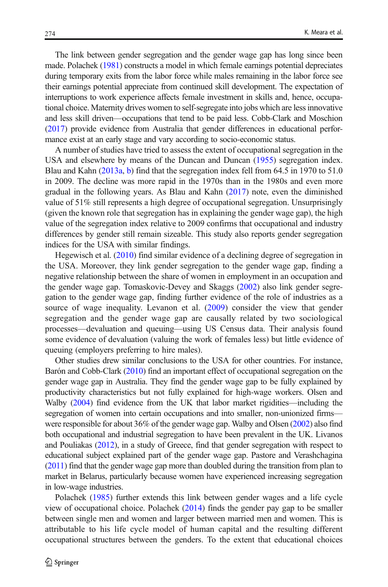The link between gender segregation and the gender wage gap has long since been made. Polachek [\(1981](#page-34-0)) constructs a model in which female earnings potential depreciates during temporary exits from the labor force while males remaining in the labor force see their earnings potential appreciate from continued skill development. The expectation of interruptions to work experience affects female investment in skills and, hence, occupational choice. Maternity drives women to self-segregate into jobs which are less innovative and less skill driven—occupations that tend to be paid less. Cobb-Clark and Moschion [\(2017](#page-33-0)) provide evidence from Australia that gender differences in educational performance exist at an early stage and vary according to socio-economic status.

A number of studies have tried to assess the extent of occupational segregation in the USA and elsewhere by means of the Duncan and Duncan [\(1955\)](#page-33-0) segregation index. Blau and Kahn [\(2013a,](#page-33-0) [b](#page-33-0)) find that the segregation index fell from 64.5 in 1970 to 51.0 in 2009. The decline was more rapid in the 1970s than in the 1980s and even more gradual in the following years. As Blau and Kahn [\(2017\)](#page-33-0) note, even the diminished value of 51% still represents a high degree of occupational segregation. Unsurprisingly (given the known role that segregation has in explaining the gender wage gap), the high value of the segregation index relative to 2009 confirms that occupational and industry differences by gender still remain sizeable. This study also reports gender segregation indices for the USA with similar findings.

Hegewisch et al. ([2010](#page-33-0)) find similar evidence of a declining degree of segregation in the USA. Moreover, they link gender segregation to the gender wage gap, finding a negative relationship between the share of women in employment in an occupation and the gender wage gap. Tomaskovic-Devey and Skaggs [\(2002](#page-34-0)) also link gender segregation to the gender wage gap, finding further evidence of the role of industries as a source of wage inequality. Levanon et al. ([2009](#page-34-0)) consider the view that gender segregation and the gender wage gap are causally related by two sociological processes—devaluation and queuing—using US Census data. Their analysis found some evidence of devaluation (valuing the work of females less) but little evidence of queuing (employers preferring to hire males).

Other studies drew similar conclusions to the USA for other countries. For instance, Barón and Cobb-Clark [\(2010](#page-33-0)) find an important effect of occupational segregation on the gender wage gap in Australia. They find the gender wage gap to be fully explained by productivity characteristics but not fully explained for high-wage workers. Olsen and Walby [\(2004](#page-34-0)) find evidence from the UK that labor market rigidities—including the segregation of women into certain occupations and into smaller, non-unionized firms were responsible for about 36% of the gender wage gap. Walby and Olsen [\(2002\)](#page-34-0) also find both occupational and industrial segregation to have been prevalent in the UK. Livanos and Pouliakas [\(2012\)](#page-34-0), in a study of Greece, find that gender segregation with respect to educational subject explained part of the gender wage gap. Pastore and Verashchagina [\(2011\)](#page-34-0) find that the gender wage gap more than doubled during the transition from plan to market in Belarus, particularly because women have experienced increasing segregation in low-wage industries.

Polachek ([1985](#page-34-0)) further extends this link between gender wages and a life cycle view of occupational choice. Polachek [\(2014\)](#page-34-0) finds the gender pay gap to be smaller between single men and women and larger between married men and women. This is attributable to his life cycle model of human capital and the resulting different occupational structures between the genders. To the extent that educational choices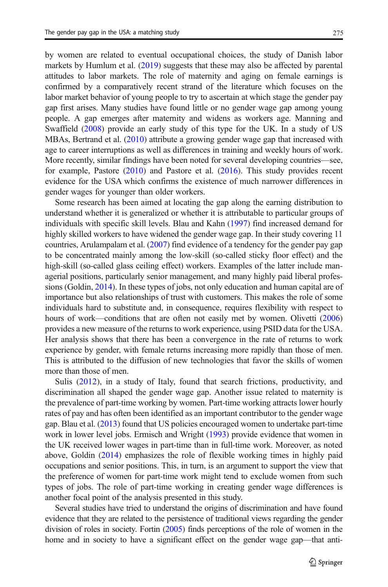by women are related to eventual occupational choices, the study of Danish labor markets by Humlum et al. ([2019](#page-34-0)) suggests that these may also be affected by parental attitudes to labor markets. The role of maternity and aging on female earnings is confirmed by a comparatively recent strand of the literature which focuses on the labor market behavior of young people to try to ascertain at which stage the gender pay gap first arises. Many studies have found little or no gender wage gap among young people. A gap emerges after maternity and widens as workers age. Manning and Swaffield [\(2008\)](#page-34-0) provide an early study of this type for the UK. In a study of US MBAs, Bertrand et al. ([2010](#page-33-0)) attribute a growing gender wage gap that increased with age to career interruptions as well as differences in training and weekly hours of work. More recently, similar findings have been noted for several developing countries—see, for example, Pastore ([2010](#page-34-0)) and Pastore et al. ([2016](#page-34-0)). This study provides recent evidence for the USA which confirms the existence of much narrower differences in gender wages for younger than older workers.

Some research has been aimed at locating the gap along the earning distribution to understand whether it is generalized or whether it is attributable to particular groups of individuals with specific skill levels. Blau and Kahn ([1997](#page-33-0)) find increased demand for highly skilled workers to have widened the gender wage gap. In their study covering 11 countries, Arulampalam et al. ([2007](#page-33-0)) find evidence of a tendency for the gender pay gap to be concentrated mainly among the low-skill (so-called sticky floor effect) and the high-skill (so-called glass ceiling effect) workers. Examples of the latter include managerial positions, particularly senior management, and many highly paid liberal professions (Goldin, [2014](#page-33-0)). In these types of jobs, not only education and human capital are of importance but also relationships of trust with customers. This makes the role of some individuals hard to substitute and, in consequence, requires flexibility with respect to hours of work—conditions that are often not easily met by women. Olivetti ([2006](#page-34-0)) provides a new measure of the returns to work experience, using PSID data for the USA. Her analysis shows that there has been a convergence in the rate of returns to work experience by gender, with female returns increasing more rapidly than those of men. This is attributed to the diffusion of new technologies that favor the skills of women more than those of men.

Sulis ([2012\)](#page-34-0), in a study of Italy, found that search frictions, productivity, and discrimination all shaped the gender wage gap. Another issue related to maternity is the prevalence of part-time working by women. Part-time working attracts lower hourly rates of pay and has often been identified as an important contributor to the gender wage gap. Blau et al. [\(2013\)](#page-33-0) found that US policies encouraged women to undertake part-time work in lower level jobs. Ermisch and Wright ([1993](#page-33-0)) provide evidence that women in the UK received lower wages in part-time than in full-time work. Moreover, as noted above, Goldin ([2014](#page-33-0)) emphasizes the role of flexible working times in highly paid occupations and senior positions. This, in turn, is an argument to support the view that the preference of women for part-time work might tend to exclude women from such types of jobs. The role of part-time working in creating gender wage differences is another focal point of the analysis presented in this study.

Several studies have tried to understand the origins of discrimination and have found evidence that they are related to the persistence of traditional views regarding the gender division of roles in society. Fortin [\(2005\)](#page-33-0) finds perceptions of the role of women in the home and in society to have a significant effect on the gender wage gap—that anti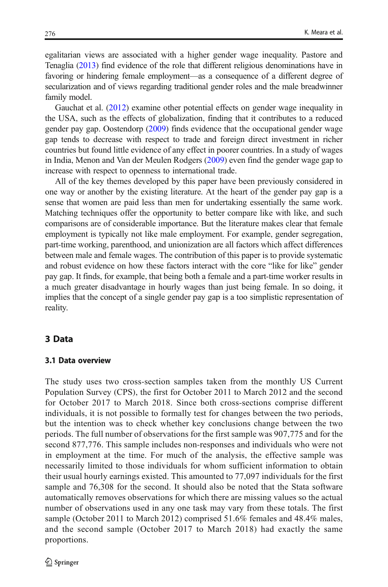<span id="page-5-0"></span>egalitarian views are associated with a higher gender wage inequality. Pastore and Tenaglia [\(2013\)](#page-34-0) find evidence of the role that different religious denominations have in favoring or hindering female employment—as a consequence of a different degree of secularization and of views regarding traditional gender roles and the male breadwinner family model.

Gauchat et al. [\(2012\)](#page-33-0) examine other potential effects on gender wage inequality in the USA, such as the effects of globalization, finding that it contributes to a reduced gender pay gap. Oostendorp [\(2009\)](#page-34-0) finds evidence that the occupational gender wage gap tends to decrease with respect to trade and foreign direct investment in richer countries but found little evidence of any effect in poorer countries. In a study of wages in India, Menon and Van der Meulen Rodgers ([2009](#page-34-0)) even find the gender wage gap to increase with respect to openness to international trade.

All of the key themes developed by this paper have been previously considered in one way or another by the existing literature. At the heart of the gender pay gap is a sense that women are paid less than men for undertaking essentially the same work. Matching techniques offer the opportunity to better compare like with like, and such comparisons are of considerable importance. But the literature makes clear that female employment is typically not like male employment. For example, gender segregation, part-time working, parenthood, and unionization are all factors which affect differences between male and female wages. The contribution of this paper is to provide systematic and robust evidence on how these factors interact with the core "like for like" gender pay gap. It finds, for example, that being both a female and a part-time worker results in a much greater disadvantage in hourly wages than just being female. In so doing, it implies that the concept of a single gender pay gap is a too simplistic representation of reality.

# 3 Data

#### 3.1 Data overview

The study uses two cross-section samples taken from the monthly US Current Population Survey (CPS), the first for October 2011 to March 2012 and the second for October 2017 to March 2018. Since both cross-sections comprise different individuals, it is not possible to formally test for changes between the two periods, but the intention was to check whether key conclusions change between the two periods. The full number of observations for the first sample was 907,775 and for the second 877,776. This sample includes non-responses and individuals who were not in employment at the time. For much of the analysis, the effective sample was necessarily limited to those individuals for whom sufficient information to obtain their usual hourly earnings existed. This amounted to 77,097 individuals for the first sample and 76,308 for the second. It should also be noted that the Stata software automatically removes observations for which there are missing values so the actual number of observations used in any one task may vary from these totals. The first sample (October 2011 to March 2012) comprised 51.6% females and 48.4% males, and the second sample (October 2017 to March 2018) had exactly the same proportions.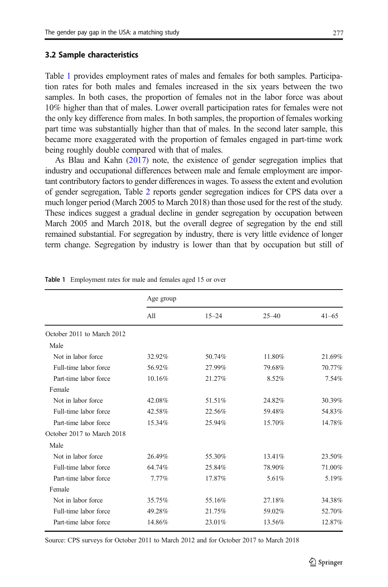#### 3.2 Sample characteristics

Table 1 provides employment rates of males and females for both samples. Participation rates for both males and females increased in the six years between the two samples. In both cases, the proportion of females not in the labor force was about 10% higher than that of males. Lower overall participation rates for females were not the only key difference from males. In both samples, the proportion of females working part time was substantially higher than that of males. In the second later sample, this became more exaggerated with the proportion of females engaged in part-time work being roughly double compared with that of males.

As Blau and Kahn [\(2017](#page-33-0)) note, the existence of gender segregation implies that industry and occupational differences between male and female employment are important contributory factors to gender differences in wages. To assess the extent and evolution of gender segregation, Table [2](#page-7-0) reports gender segregation indices for CPS data over a much longer period (March 2005 to March 2018) than those used for the rest of the study. These indices suggest a gradual decline in gender segregation by occupation between March 2005 and March 2018, but the overall degree of segregation by the end still remained substantial. For segregation by industry, there is very little evidence of longer term change. Segregation by industry is lower than that by occupation but still of

|                            | Age group |           |           |           |
|----------------------------|-----------|-----------|-----------|-----------|
|                            | A11       | $15 - 24$ | $25 - 40$ | $41 - 65$ |
| October 2011 to March 2012 |           |           |           |           |
| Male                       |           |           |           |           |
| Not in labor force         | 32.92%    | 50.74%    | 11.80%    | 21.69%    |
| Full-time labor force      | 56.92%    | 27.99%    | 79.68%    | 70.77%    |
| Part-time labor force      | 10.16%    | 21.27%    | 8.52%     | 7.54%     |
| Female                     |           |           |           |           |
| Not in labor force         | 42.08%    | 51.51%    | 24.82%    | 30.39%    |
| Full-time labor force      | 42.58%    | 22.56%    | 59.48%    | 54.83%    |
| Part-time labor force      | 15.34%    | 25.94%    | 15.70%    | 14.78%    |
| October 2017 to March 2018 |           |           |           |           |
| Male                       |           |           |           |           |
| Not in labor force         | 26.49%    | 55.30%    | 13.41%    | 23.50%    |
| Full-time labor force      | 64.74%    | 25.84%    | 78.90%    | 71.00%    |
| Part-time labor force      | 7.77%     | 17.87%    | 5.61%     | 5.19%     |
| Female                     |           |           |           |           |
| Not in labor force         | 35.75%    | 55.16%    | 27.18%    | 34.38%    |
| Full-time labor force      | 49.28%    | 21.75%    | 59.02%    | 52.70%    |
| Part-time labor force      | 14.86%    | 23.01%    | 13.56%    | 12.87%    |

Table 1 Employment rates for male and females aged 15 or over

Source: CPS surveys for October 2011 to March 2012 and for October 2017 to March 2018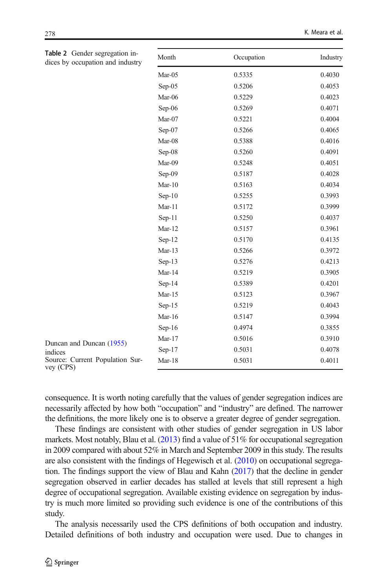<span id="page-7-0"></span>

| Table 2 Gender segregation in-<br>dices by occupation and industry | Month    | Occupation | Industry |
|--------------------------------------------------------------------|----------|------------|----------|
|                                                                    | Mar-05   | 0.5335     | 0.4030   |
|                                                                    | Sep-05   | 0.5206     | 0.4053   |
|                                                                    | Mar-06   | 0.5229     | 0.4023   |
|                                                                    | Sep-06   | 0.5269     | 0.4071   |
|                                                                    | Mar-07   | 0.5221     | 0.4004   |
|                                                                    | Sep-07   | 0.5266     | 0.4065   |
|                                                                    | Mar-08   | 0.5388     | 0.4016   |
|                                                                    | Sep-08   | 0.5260     | 0.4091   |
|                                                                    | Mar-09   | 0.5248     | 0.4051   |
|                                                                    | Sep-09   | 0.5187     | 0.4028   |
|                                                                    | $Mar-10$ | 0.5163     | 0.4034   |
|                                                                    | $Sep-10$ | 0.5255     | 0.3993   |
|                                                                    | $Mar-11$ | 0.5172     | 0.3999   |
|                                                                    | $Sep-11$ | 0.5250     | 0.4037   |
|                                                                    | Mar-12   | 0.5157     | 0.3961   |
|                                                                    | $Sep-12$ | 0.5170     | 0.4135   |
|                                                                    | $Mar-13$ | 0.5266     | 0.3972   |
|                                                                    | $Sep-13$ | 0.5276     | 0.4213   |
|                                                                    | Mar-14   | 0.5219     | 0.3905   |
|                                                                    | $Sep-14$ | 0.5389     | 0.4201   |
|                                                                    | $Mar-15$ | 0.5123     | 0.3967   |
|                                                                    | $Sep-15$ | 0.5219     | 0.4043   |
|                                                                    | Mar-16   | 0.5147     | 0.3994   |
|                                                                    | $Sep-16$ | 0.4974     | 0.3855   |
| Duncan and Duncan (1955)                                           | $Mar-17$ | 0.5016     | 0.3910   |
| indices                                                            | $Sep-17$ | 0.5031     | 0.4078   |
| Source: Current Population Sur-<br>$V$ ev (CPS)                    | Mar-18   | 0.5031     | 0.4011   |

indices Source: Current vey (CPS)

consequence. It is worth noting carefully that the values of gender segregation indices are necessarily affected by how both "occupation" and "industry" are defined. The narrower the definitions, the more likely one is to observe a greater degree of gender segregation.

These findings are consistent with other studies of gender segregation in US labor markets. Most notably, Blau et al. [\(2013\)](#page-33-0) find a value of 51% for occupational segregation in 2009 compared with about 52% in March and September 2009 in this study. The results are also consistent with the findings of Hegewisch et al. ([2010\)](#page-33-0) on occupational segregation. The findings support the view of Blau and Kahn [\(2017](#page-33-0)) that the decline in gender segregation observed in earlier decades has stalled at levels that still represent a high degree of occupational segregation. Available existing evidence on segregation by industry is much more limited so providing such evidence is one of the contributions of this study.

The analysis necessarily used the CPS definitions of both occupation and industry. Detailed definitions of both industry and occupation were used. Due to changes in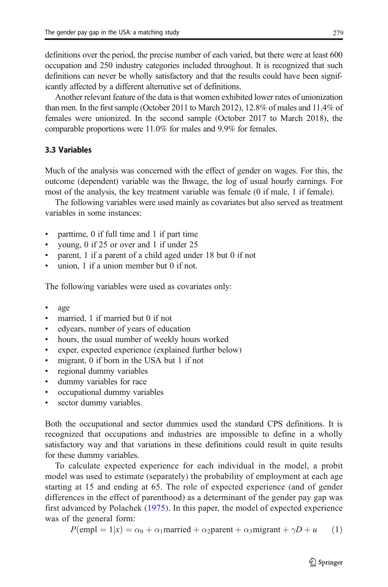definitions over the period, the precise number of each varied, but there were at least 600 occupation and 250 industry categories included throughout. It is recognized that such definitions can never be wholly satisfactory and that the results could have been significantly affected by a different alternative set of definitions.

Another relevant feature of the data is that women exhibited lower rates of unionization than men. In the first sample (October 2011 to March 2012), 12.8% of males and 11.4% of females were unionized. In the second sample (October 2017 to March 2018), the comparable proportions were 11.0% for males and 9.9% for females.

# 3.3 Variables

Much of the analysis was concerned with the effect of gender on wages. For this, the outcome (dependent) variable was the lhwage, the log of usual hourly earnings. For most of the analysis, the key treatment variable was female (0 if male, 1 if female).

The following variables were used mainly as covariates but also served as treatment variables in some instances:

- & parttime, 0 if full time and 1 if part time
- young, 0 if 25 or over and 1 if under 25
- & parent, 1 if a parent of a child aged under 18 but 0 if not
- & union, 1 if a union member but 0 if not.

The following variables were used as covariates only:

- age
- married, 1 if married but 0 if not
- & edyears, number of years of education
- hours, the usual number of weekly hours worked
- & exper, expected experience (explained further below)
- migrant, 0 if born in the USA but 1 if not
- regional dummy variables
- dummy variables for race
- occupational dummy variables
- sector dummy variables.

Both the occupational and sector dummies used the standard CPS definitions. It is recognized that occupations and industries are impossible to define in a wholly satisfactory way and that variations in these definitions could result in quite results for these dummy variables.

To calculate expected experience for each individual in the model, a probit model was used to estimate (separately) the probability of employment at each age starting at 15 and ending at 65. The role of expected experience (and of gender differences in the effect of parenthood) as a determinant of the gender pay gap was first advanced by Polachek ([1975](#page-34-0)). In this paper, the model of expected experience was of the general form:

$$
P(\text{empl} = 1|x) = \alpha_0 + \alpha_1 \text{married} + \alpha_2 \text{parent} + \alpha_3 \text{migrant} + \gamma D + u \qquad (1)
$$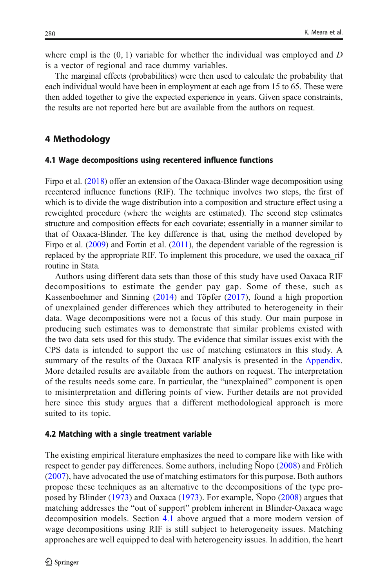<span id="page-9-0"></span>where empl is the  $(0, 1)$  variable for whether the individual was employed and D is a vector of regional and race dummy variables.

The marginal effects (probabilities) were then used to calculate the probability that each individual would have been in employment at each age from 15 to 65. These were then added together to give the expected experience in years. Given space constraints, the results are not reported here but are available from the authors on request.

# 4 Methodology

#### 4.1 Wage decompositions using recentered influence functions

Firpo et al. ([2018](#page-33-0)) offer an extension of the Oaxaca-Blinder wage decomposition using recentered influence functions (RIF). The technique involves two steps, the first of which is to divide the wage distribution into a composition and structure effect using a reweighted procedure (where the weights are estimated). The second step estimates structure and composition effects for each covariate; essentially in a manner similar to that of Oaxaca-Blinder. The key difference is that, using the method developed by Firpo et al. [\(2009\)](#page-33-0) and Fortin et al. [\(2011\)](#page-33-0), the dependent variable of the regression is replaced by the appropriate RIF. To implement this procedure, we used the oaxaca\_rif routine in Stata.

Authors using different data sets than those of this study have used Oaxaca RIF decompositions to estimate the gender pay gap. Some of these, such as Kassenboehmer and Sinning ([2014](#page-34-0)) and Töpfer ([2017\)](#page-34-0), found a high proportion of unexplained gender differences which they attributed to heterogeneity in their data. Wage decompositions were not a focus of this study. Our main purpose in producing such estimates was to demonstrate that similar problems existed with the two data sets used for this study. The evidence that similar issues exist with the CPS data is intended to support the use of matching estimators in this study. A summary of the results of the Oaxaca RIF analysis is presented in the [Appendix.](#page-31-0) More detailed results are available from the authors on request. The interpretation of the results needs some care. In particular, the "unexplained" component is open to misinterpretation and differing points of view. Further details are not provided here since this study argues that a different methodological approach is more suited to its topic.

#### 4.2 Matching with a single treatment variable

The existing empirical literature emphasizes the need to compare like with like with respect to gender pay differences. Some authors, including Ñopo [\(2008\)](#page-34-0) and Frölich [\(2007\)](#page-33-0), have advocated the use of matching estimators for this purpose. Both authors propose these techniques as an alternative to the decompositions of the type proposed by Blinder ([1973](#page-33-0)) and Oaxaca [\(1973\)](#page-34-0). For example, Ñopo [\(2008\)](#page-34-0) argues that matching addresses the "out of support" problem inherent in Blinder-Oaxaca wage decomposition models. Section 4.1 above argued that a more modern version of wage decompositions using RIF is still subject to heterogeneity issues. Matching approaches are well equipped to deal with heterogeneity issues. In addition, the heart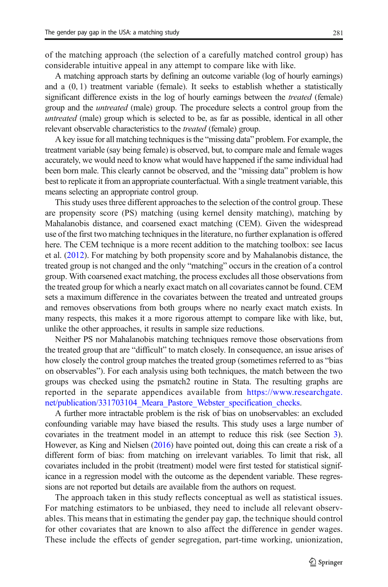of the matching approach (the selection of a carefully matched control group) has considerable intuitive appeal in any attempt to compare like with like.

A matching approach starts by defining an outcome variable (log of hourly earnings) and a (0, 1) treatment variable (female). It seeks to establish whether a statistically significant difference exists in the log of hourly earnings between the *treated* (female) group and the untreated (male) group. The procedure selects a control group from the untreated (male) group which is selected to be, as far as possible, identical in all other relevant observable characteristics to the *treated* (female) group.

A key issue for all matching techniques is the "missing data" problem. For example, the treatment variable (say being female) is observed, but, to compare male and female wages accurately, we would need to know what would have happened if the same individual had been born male. This clearly cannot be observed, and the "missing data" problem is how best to replicate it from an appropriate counterfactual. With a single treatment variable, this means selecting an appropriate control group.

This study uses three different approaches to the selection of the control group. These are propensity score (PS) matching (using kernel density matching), matching by Mahalanobis distance, and coarsened exact matching (CEM). Given the widespread use of the first two matching techniques in the literature, no further explanation is offered here. The CEM technique is a more recent addition to the matching toolbox: see Iacus et al. ([2012](#page-34-0)). For matching by both propensity score and by Mahalanobis distance, the treated group is not changed and the only "matching" occurs in the creation of a control group. With coarsened exact matching, the process excludes all those observations from the treated group for which a nearly exact match on all covariates cannot be found. CEM sets a maximum difference in the covariates between the treated and untreated groups and removes observations from both groups where no nearly exact match exists. In many respects, this makes it a more rigorous attempt to compare like with like, but, unlike the other approaches, it results in sample size reductions.

Neither PS nor Mahalanobis matching techniques remove those observations from the treated group that are "difficult" to match closely. In consequence, an issue arises of how closely the control group matches the treated group (sometimes referred to as "bias on observables"). For each analysis using both techniques, the match between the two groups was checked using the psmatch2 routine in Stata. The resulting graphs are reported in the separate appendices available from [https://www.researchgate.](https://www.researchgate.net/publication/331703104_Meara_Pastore_Webster_specification_checks) [net/publication/331703104\\_Meara\\_Pastore\\_Webster\\_specification\\_checks.](https://www.researchgate.net/publication/331703104_Meara_Pastore_Webster_specification_checks)

A further more intractable problem is the risk of bias on unobservables: an excluded confounding variable may have biased the results. This study uses a large number of covariates in the treatment model in an attempt to reduce this risk (see Section [3\)](#page-5-0). However, as King and Nielsen [\(2016](#page-34-0)) have pointed out, doing this can create a risk of a different form of bias: from matching on irrelevant variables. To limit that risk, all covariates included in the probit (treatment) model were first tested for statistical significance in a regression model with the outcome as the dependent variable. These regressions are not reported but details are available from the authors on request.

The approach taken in this study reflects conceptual as well as statistical issues. For matching estimators to be unbiased, they need to include all relevant observables. This means that in estimating the gender pay gap, the technique should control for other covariates that are known to also affect the difference in gender wages. These include the effects of gender segregation, part-time working, unionization,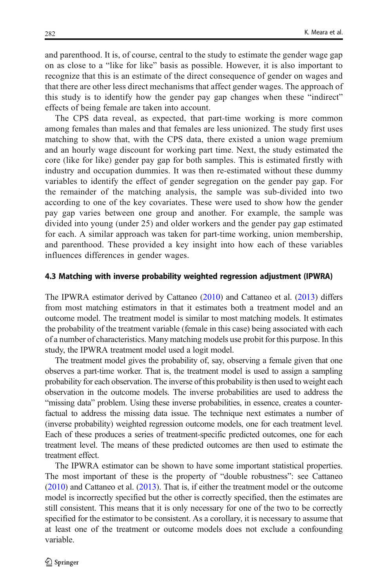and parenthood. It is, of course, central to the study to estimate the gender wage gap on as close to a "like for like" basis as possible. However, it is also important to recognize that this is an estimate of the direct consequence of gender on wages and that there are other less direct mechanisms that affect gender wages. The approach of this study is to identify how the gender pay gap changes when these "indirect" effects of being female are taken into account.

The CPS data reveal, as expected, that part-time working is more common among females than males and that females are less unionized. The study first uses matching to show that, with the CPS data, there existed a union wage premium and an hourly wage discount for working part time. Next, the study estimated the core (like for like) gender pay gap for both samples. This is estimated firstly with industry and occupation dummies. It was then re-estimated without these dummy variables to identify the effect of gender segregation on the gender pay gap. For the remainder of the matching analysis, the sample was sub-divided into two according to one of the key covariates. These were used to show how the gender pay gap varies between one group and another. For example, the sample was divided into young (under 25) and older workers and the gender pay gap estimated for each. A similar approach was taken for part-time working, union membership, and parenthood. These provided a key insight into how each of these variables influences differences in gender wages.

#### 4.3 Matching with inverse probability weighted regression adjustment (IPWRA)

The IPWRA estimator derived by Cattaneo [\(2010\)](#page-33-0) and Cattaneo et al. [\(2013\)](#page-33-0) differs from most matching estimators in that it estimates both a treatment model and an outcome model. The treatment model is similar to most matching models. It estimates the probability of the treatment variable (female in this case) being associated with each of a number of characteristics. Many matching models use probit for this purpose. In this study, the IPWRA treatment model used a logit model.

The treatment model gives the probability of, say, observing a female given that one observes a part-time worker. That is, the treatment model is used to assign a sampling probability for each observation. The inverse of this probability is then used to weight each observation in the outcome models. The inverse probabilities are used to address the "missing data" problem. Using these inverse probabilities, in essence, creates a counterfactual to address the missing data issue. The technique next estimates a number of (inverse probability) weighted regression outcome models, one for each treatment level. Each of these produces a series of treatment-specific predicted outcomes, one for each treatment level. The means of these predicted outcomes are then used to estimate the treatment effect.

The IPWRA estimator can be shown to have some important statistical properties. The most important of these is the property of "double robustness": see Cattaneo [\(2010\)](#page-33-0) and Cattaneo et al. ([2013](#page-33-0)). That is, if either the treatment model or the outcome model is incorrectly specified but the other is correctly specified, then the estimates are still consistent. This means that it is only necessary for one of the two to be correctly specified for the estimator to be consistent. As a corollary, it is necessary to assume that at least one of the treatment or outcome models does not exclude a confounding variable.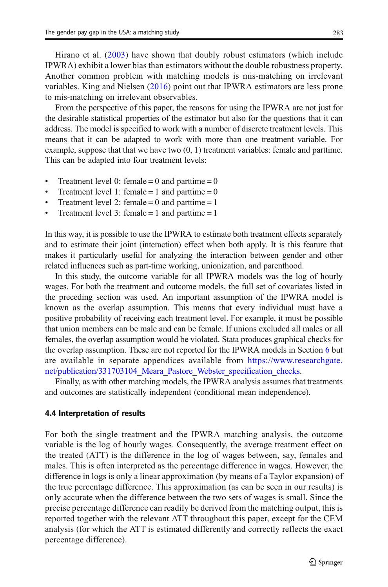Hirano et al. ([2003](#page-33-0)) have shown that doubly robust estimators (which include IPWRA) exhibit a lower bias than estimators without the double robustness property. Another common problem with matching models is mis-matching on irrelevant variables. King and Nielsen ([2016](#page-34-0)) point out that IPWRA estimators are less prone to mis-matching on irrelevant observables.

From the perspective of this paper, the reasons for using the IPWRA are not just for the desirable statistical properties of the estimator but also for the questions that it can address. The model is specified to work with a number of discrete treatment levels. This means that it can be adapted to work with more than one treatment variable. For example, suppose that that we have two (0, 1) treatment variables: female and parttime. This can be adapted into four treatment levels:

- $\bullet$  Treatment level 0: female = 0 and parttime = 0
- Treatment level 1: female = 1 and parttime =  $0$
- Treatment level 2: female  $= 0$  and parttime  $= 1$
- Treatment level 3: female  $= 1$  and parttime  $= 1$

In this way, it is possible to use the IPWRA to estimate both treatment effects separately and to estimate their joint (interaction) effect when both apply. It is this feature that makes it particularly useful for analyzing the interaction between gender and other related influences such as part-time working, unionization, and parenthood.

In this study, the outcome variable for all IPWRA models was the log of hourly wages. For both the treatment and outcome models, the full set of covariates listed in the preceding section was used. An important assumption of the IPWRA model is known as the overlap assumption. This means that every individual must have a positive probability of receiving each treatment level. For example, it must be possible that union members can be male and can be female. If unions excluded all males or all females, the overlap assumption would be violated. Stata produces graphical checks for the overlap assumption. These are not reported for the IPWRA models in Section [6](#page-22-0) but are available in separate appendices available from [https://www.researchgate.](https://www.researchgate.net/publication/331703104_Meara_Pastore_Webster_specification_checks) [net/publication/331703104\\_Meara\\_Pastore\\_Webster\\_specification\\_checks.](https://www.researchgate.net/publication/331703104_Meara_Pastore_Webster_specification_checks)

Finally, as with other matching models, the IPWRA analysis assumes that treatments and outcomes are statistically independent (conditional mean independence).

#### 4.4 Interpretation of results

For both the single treatment and the IPWRA matching analysis, the outcome variable is the log of hourly wages. Consequently, the average treatment effect on the treated (ATT) is the difference in the log of wages between, say, females and males. This is often interpreted as the percentage difference in wages. However, the difference in logs is only a linear approximation (by means of a Taylor expansion) of the true percentage difference. This approximation (as can be seen in our results) is only accurate when the difference between the two sets of wages is small. Since the precise percentage difference can readily be derived from the matching output, this is reported together with the relevant ATT throughout this paper, except for the CEM analysis (for which the ATT is estimated differently and correctly reflects the exact percentage difference).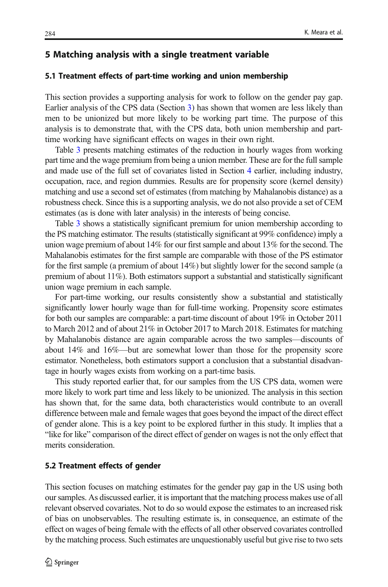## <span id="page-13-0"></span>5 Matching analysis with a single treatment variable

#### 5.1 Treatment effects of part-time working and union membership

This section provides a supporting analysis for work to follow on the gender pay gap. Earlier analysis of the CPS data (Section [3](#page-5-0)) has shown that women are less likely than men to be unionized but more likely to be working part time. The purpose of this analysis is to demonstrate that, with the CPS data, both union membership and parttime working have significant effects on wages in their own right.

Table [3](#page-14-0) presents matching estimates of the reduction in hourly wages from working part time and the wage premium from being a union member. These are for the full sample and made use of the full set of covariates listed in Section [4](#page-9-0) earlier, including industry, occupation, race, and region dummies. Results are for propensity score (kernel density) matching and use a second set of estimates (from matching by Mahalanobis distance) as a robustness check. Since this is a supporting analysis, we do not also provide a set of CEM estimates (as is done with later analysis) in the interests of being concise.

Table [3](#page-14-0) shows a statistically significant premium for union membership according to the PS matching estimator. The results (statistically significant at 99% confidence) imply a union wage premium of about 14% for our first sample and about 13% for the second. The Mahalanobis estimates for the first sample are comparable with those of the PS estimator for the first sample (a premium of about 14%) but slightly lower for the second sample (a premium of about 11%). Both estimators support a substantial and statistically significant union wage premium in each sample.

For part-time working, our results consistently show a substantial and statistically significantly lower hourly wage than for full-time working. Propensity score estimates for both our samples are comparable: a part-time discount of about 19% in October 2011 to March 2012 and of about 21% in October 2017 to March 2018. Estimates for matching by Mahalanobis distance are again comparable across the two samples—discounts of about 14% and 16%—but are somewhat lower than those for the propensity score estimator. Nonetheless, both estimators support a conclusion that a substantial disadvantage in hourly wages exists from working on a part-time basis.

This study reported earlier that, for our samples from the US CPS data, women were more likely to work part time and less likely to be unionized. The analysis in this section has shown that, for the same data, both characteristics would contribute to an overall difference between male and female wages that goes beyond the impact of the direct effect of gender alone. This is a key point to be explored further in this study. It implies that a "like for like" comparison of the direct effect of gender on wages is not the only effect that merits consideration.

# 5.2 Treatment effects of gender

This section focuses on matching estimates for the gender pay gap in the US using both our samples. As discussed earlier, it is important that the matching process makes use of all relevant observed covariates. Not to do so would expose the estimates to an increased risk of bias on unobservables. The resulting estimate is, in consequence, an estimate of the effect on wages of being female with the effects of all other observed covariates controlled by the matching process. Such estimates are unquestionably useful but give rise to two sets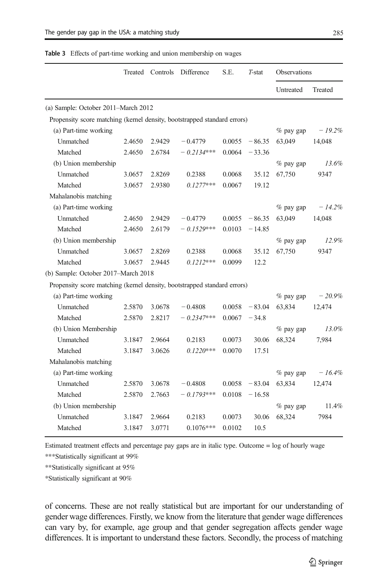<span id="page-14-0"></span>

| <b>Table 3</b> Effects of part-time working and union membership on wages |  |  |  |  |
|---------------------------------------------------------------------------|--|--|--|--|
|---------------------------------------------------------------------------|--|--|--|--|

|                                                                          | Treated | Controls | Difference   | S.E.   | $T-stat$ | <b>Observations</b> |           |
|--------------------------------------------------------------------------|---------|----------|--------------|--------|----------|---------------------|-----------|
|                                                                          |         |          |              |        |          | <b>Untreated</b>    | Treated   |
| (a) Sample: October 2011-March 2012                                      |         |          |              |        |          |                     |           |
| Propensity score matching (kernel density, bootstrapped standard errors) |         |          |              |        |          |                     |           |
| (a) Part-time working                                                    |         |          |              |        |          | $%$ pay gap         | $-19.2%$  |
| Unmatched                                                                | 2.4650  | 2.9429   | $-0.4779$    | 0.0055 | $-86.35$ | 63,049              | 14,048    |
| Matched                                                                  | 2.4650  | 2.6784   | $-0.2134***$ | 0.0064 | $-33.36$ |                     |           |
| (b) Union membership                                                     |         |          |              |        |          | $%$ pay gap         | 13.6%     |
| Unmatched                                                                | 3.0657  | 2.8269   | 0.2388       | 0.0068 | 35.12    | 67,750              | 9347      |
| Matched                                                                  | 3.0657  | 2.9380   | $0.1277***$  | 0.0067 | 19.12    |                     |           |
| Mahalanobis matching                                                     |         |          |              |        |          |                     |           |
| (a) Part-time working                                                    |         |          |              |        |          | $%$ pay gap         | $-14.2\%$ |
| Unmatched                                                                | 2.4650  | 2.9429   | $-0.4779$    | 0.0055 | $-86.35$ | 63,049              | 14,048    |
| Matched                                                                  | 2.4650  | 2.6179   | $-0.1529***$ | 0.0103 | $-14.85$ |                     |           |
| (b) Union membership                                                     |         |          |              |        |          | $%$ pay gap         | 12.9%     |
| <b>Unmatched</b>                                                         | 3.0657  | 2.8269   | 0.2388       | 0.0068 | 35.12    | 67,750              | 9347      |
| Matched                                                                  | 3.0657  | 2.9445   | $0.1212***$  | 0.0099 | 12.2     |                     |           |
| (b) Sample: October 2017-March 2018                                      |         |          |              |        |          |                     |           |
| Propensity score matching (kernel density, bootstrapped standard errors) |         |          |              |        |          |                     |           |
| (a) Part-time working                                                    |         |          |              |        |          | $%$ pay gap         | $-20.9%$  |
| Unmatched                                                                | 2.5870  | 3.0678   | $-0.4808$    | 0.0058 | $-83.04$ | 63,834              | 12,474    |
| Matched                                                                  | 2.5870  | 2.8217   | $-0.2347***$ | 0.0067 | $-34.8$  |                     |           |
| (b) Union Membership                                                     |         |          |              |        |          | % pay gap           | 13.0%     |
| <b>Unmatched</b>                                                         | 3.1847  | 2.9664   | 0.2183       | 0.0073 | 30.06    | 68,324              | 7,984     |
| Matched                                                                  | 3.1847  | 3.0626   | $0.1220***$  | 0.0070 | 17.51    |                     |           |
| Mahalanobis matching                                                     |         |          |              |        |          |                     |           |
| (a) Part-time working                                                    |         |          |              |        |          | $%$ pay gap         | $-16.4%$  |
| Unmatched                                                                | 2.5870  | 3.0678   | $-0.4808$    | 0.0058 | $-83.04$ | 63.834              | 12,474    |
| Matched                                                                  | 2.5870  | 2.7663   | $-0.1793***$ | 0.0108 | $-16.58$ |                     |           |
| (b) Union membership                                                     |         |          |              |        |          | % pay gap           | 11.4%     |
| Unmatched                                                                | 3.1847  | 2.9664   | 0.2183       | 0.0073 | 30.06    | 68,324              | 7984      |
| Matched                                                                  | 3.1847  | 3.0771   | $0.1076***$  | 0.0102 | 10.5     |                     |           |

Estimated treatment effects and percentage pay gaps are in italic type. Outcome = log of hourly wage

\*\*\*Statistically significant at 99%

\*\*Statistically significant at 95%

\*Statistically significant at 90%

of concerns. These are not really statistical but are important for our understanding of gender wage differences. Firstly, we know from the literature that gender wage differences can vary by, for example, age group and that gender segregation affects gender wage differences. It is important to understand these factors. Secondly, the process of matching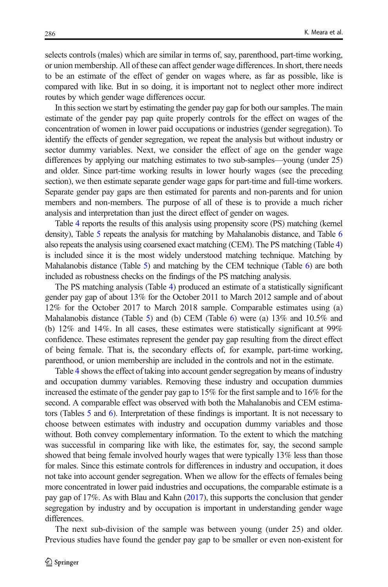selects controls (males) which are similar in terms of, say, parenthood, part-time working, or union membership. All of these can affect gender wage differences. In short, there needs to be an estimate of the effect of gender on wages where, as far as possible, like is compared with like. But in so doing, it is important not to neglect other more indirect routes by which gender wage differences occur.

In this section we start by estimating the gender pay gap for both our samples. The main estimate of the gender pay pap quite properly controls for the effect on wages of the concentration of women in lower paid occupations or industries (gender segregation). To identify the effects of gender segregation, we repeat the analysis but without industry or sector dummy variables. Next, we consider the effect of age on the gender wage differences by applying our matching estimates to two sub-samples—young (under 25) and older. Since part-time working results in lower hourly wages (see the preceding section), we then estimate separate gender wage gaps for part-time and full-time workers. Separate gender pay gaps are then estimated for parents and non-parents and for union members and non-members. The purpose of all of these is to provide a much richer analysis and interpretation than just the direct effect of gender on wages.

Table [4](#page-16-0) reports the results of this analysis using propensity score (PS) matching (kernel density), Table [5](#page-18-0) repeats the analysis for matching by Mahalanobis distance, and Table [6](#page-20-0) also repeats the analysis using coarsened exact matching (CEM). The PS matching (Table [4](#page-16-0)) is included since it is the most widely understood matching technique. Matching by Mahalanobis distance (Table [5](#page-18-0)) and matching by the CEM technique (Table [6\)](#page-20-0) are both included as robustness checks on the findings of the PS matching analysis.

The PS matching analysis (Table [4](#page-16-0)) produced an estimate of a statistically significant gender pay gap of about 13% for the October 2011 to March 2012 sample and of about 12% for the October 2017 to March 2018 sample. Comparable estimates using (a) Mahalanobis distance (Table [5](#page-18-0)) and (b) CEM (Table [6](#page-20-0)) were (a)  $13\%$  and  $10.5\%$  and (b) 12% and 14%. In all cases, these estimates were statistically significant at 99% confidence. These estimates represent the gender pay gap resulting from the direct effect of being female. That is, the secondary effects of, for example, part-time working, parenthood, or union membership are included in the controls and not in the estimate.

Table [4](#page-16-0) shows the effect of taking into account gender segregation by means of industry and occupation dummy variables. Removing these industry and occupation dummies increased the estimate of the gender pay gap to 15% for the first sample and to 16% for the second. A comparable effect was observed with both the Mahalanobis and CEM estimators (Tables [5](#page-18-0) and [6\)](#page-20-0). Interpretation of these findings is important. It is not necessary to choose between estimates with industry and occupation dummy variables and those without. Both convey complementary information. To the extent to which the matching was successful in comparing like with like, the estimates for, say, the second sample showed that being female involved hourly wages that were typically 13% less than those for males. Since this estimate controls for differences in industry and occupation, it does not take into account gender segregation. When we allow for the effects of females being more concentrated in lower paid industries and occupations, the comparable estimate is a pay gap of 17%. As with Blau and Kahn [\(2017](#page-33-0)), this supports the conclusion that gender segregation by industry and by occupation is important in understanding gender wage differences.

The next sub-division of the sample was between young (under 25) and older. Previous studies have found the gender pay gap to be smaller or even non-existent for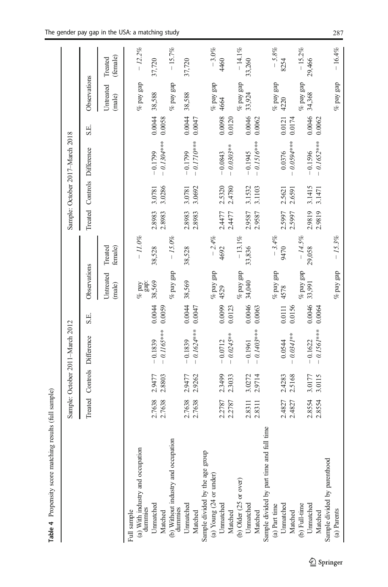<span id="page-16-0"></span>

|                                                            |                  |                  | Sample: October 2011-March 2012 |                  |                     |                    |                  |                  | Sample: October 2017-March 2018 |                  |                                          |                     |
|------------------------------------------------------------|------------------|------------------|---------------------------------|------------------|---------------------|--------------------|------------------|------------------|---------------------------------|------------------|------------------------------------------|---------------------|
|                                                            | Treated          |                  | Controls Difference             | S.E.             | Observations        |                    |                  |                  | Treated Controls Difference     | S.E.             | Observations                             |                     |
|                                                            |                  |                  |                                 |                  | Untreated<br>(male) | Treated<br>female) |                  |                  |                                 |                  | <b><i><u>Intreated</u></i></b><br>(male) | (female)<br>Treated |
| (a) With industry and occupation<br>dummies<br>Full sample |                  |                  |                                 |                  | gap:<br>$\%$ pay    | $-11.0\%$          |                  |                  |                                 |                  | $\%$ pay gap                             | $-12.2%$            |
| Umnatched<br>Matched                                       | 2.7638<br>2.7638 | 2.8803<br>2.9477 | $-0.1165***$<br>$-0.1839$       | 0.0044<br>0.0059 | 38,569              | 38,528             | 2.8983<br>2.8983 | 3.0286<br>3.0781 | $-0.1304***$<br>$-0.1799$       | 0.0044<br>0.0058 | 38,588                                   | 37,720              |
| (b) Without industry and occupation<br>dummies             |                  |                  |                                 |                  | $\%$ pay gap        | $-15.0\%$          |                  |                  |                                 |                  | $\%$ pay gap                             | $-15.7%$            |
| Unnatched<br>Matched                                       | 2.7638<br>2.7638 | 2.9262<br>2.9477 | $-0.1624***$<br>$-0.1839$       | 0.0044<br>0.0047 | 38,569              | 38,528             | 2.8983<br>2.8983 | 3.0692<br>3.0781 | $-0.1710***$<br>$-0.1799$       | 0.0044<br>0.0047 | 38,588                                   | 37,720              |
| Sample divided by the age group                            |                  |                  |                                 |                  |                     |                    |                  |                  |                                 |                  |                                          |                     |
| (a) Young $(24$ or under)                                  |                  |                  |                                 |                  | $\%$ pay gap        | $-2.4%$            |                  |                  |                                 |                  | $%$ pay gap                              | $-3.0\%$            |
| Unmatched                                                  | 2.2787           | 2.3499           | $-0.0712$                       | 0.0099           | 4529                | 4692               | 2.4477           | 2.5320           | $-0.0843$                       | 0.0098           | 4664                                     | 4460                |
| Matched                                                    | 2.2787           | 2.3033           | $-0.0245***$                    | 0.0123           |                     |                    | 2.4477           | 2.4780           | $-0.0303***$                    | 0.0120           |                                          |                     |
| (b) Older (25 or over)                                     |                  |                  |                                 |                  | $\%$ pay gap        | $-13.1%$           |                  |                  |                                 |                  | $\%$ pay gap                             | $-14.1\%$           |
| Unnatched                                                  | 2.8311           | 3.0272           | $-0.1961$                       | 0.0046           | 34,040              | 33,836             | 2.9587           | 3.1532           | $-0.1945$                       | 0.0046           | 33,924                                   | 33,260              |
| Matched                                                    | 2.8311           | 2.9714           | $-0.1403***$                    | 0.0063           |                     |                    | 2.9587           | 3.1103           | $-0.1516***$                    | 0.0062           |                                          |                     |
| Sample divided by part time and full time                  |                  |                  |                                 |                  |                     |                    |                  |                  |                                 |                  |                                          |                     |
| $(a)$ Part time                                            |                  |                  |                                 |                  | $%$ pay gap         | $-3.4%$            |                  |                  |                                 |                  | $\%$ pay gap                             | $-5.8%$             |
| Unnatched                                                  | 2.4827           | 2.4283           | 0.0544                          | 0.0111           | 4578                | 9470               | 2.5997           | 2.5621           | 0.0376                          | 0.0121           | 4220                                     | 8254                |
| Matched                                                    | 2.4827           | 2.5168           | $0.0341***$                     | 0.0156           |                     |                    | 2.5997           | 2.6591           | $0.0594***$                     | 0.0174           |                                          |                     |
| (b) Full-time                                              |                  |                  |                                 |                  | $\%$ pay gap        | $-14.5%$           |                  |                  |                                 |                  | $\%$ pay gap                             | $-15.2%$            |
| Unnatched                                                  | 2.8554           | 3.0177           | $-0.1622$                       | 0.0046           | 33,991              | 29,058             | 2.9819           | 3.1415           | $-0.1596$                       | 0.0046           | 34,368                                   | 29,466              |
| Matched                                                    | 2.8554           | 3.0115           | $-0.1561***$                    | 0.0064           |                     |                    | 2.9819           | 3.1471           | $-0.1652***$                    | 0.0062           |                                          |                     |
| Sample divided by parenthood                               |                  |                  |                                 |                  |                     |                    |                  |                  |                                 |                  |                                          |                     |
| (a) Parents                                                |                  |                  |                                 |                  | $\%$ pay gap        | $-15.3%$           |                  |                  |                                 |                  | $\%$ pay gap                             | $-16.4%$            |

Table 4 Propensity score matching results (full sample)

Table 4 Propensity score matching results (full sample)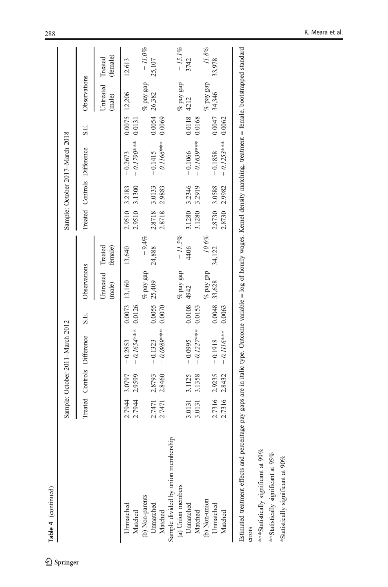|                                                                                                                                                                                              |        |               | Sample: October 2011-March 2012 |        |                     |                    |               |        | Sample: October 2017-March 2018 |        |                             |           |
|----------------------------------------------------------------------------------------------------------------------------------------------------------------------------------------------|--------|---------------|---------------------------------|--------|---------------------|--------------------|---------------|--------|---------------------------------|--------|-----------------------------|-----------|
|                                                                                                                                                                                              |        |               | Treated Controls Difference     | S.E.   | Observations        |                    |               |        | Treated Controls Difference     | S.E.   | Observations                |           |
|                                                                                                                                                                                              |        |               |                                 |        | Untreated<br>(male) | Treated<br>female) |               |        |                                 |        | Untreated Treated<br>(male) | (female)  |
| Unnatched                                                                                                                                                                                    | 2.7944 | 3.0797        | $-0.2853$                       |        | 0.0073 13,160       | 13,640             | 2.9510 3.2183 |        | $-0.2673$                       |        | 0.0075 12,206               | 12,613    |
| Matched                                                                                                                                                                                      | 2.7944 | 2.9599        | $-0.1654***$                    | 0.0126 |                     |                    | 2.9510        | 3.1300 | $-0.1790***$                    | 0.013  |                             |           |
| b) Non-parents                                                                                                                                                                               |        |               |                                 |        | $%$ pay gap         | $-9.4%$            |               |        |                                 |        | $%$ pay gap                 | $-11.0\%$ |
| Unnatched                                                                                                                                                                                    | 2.7471 | 2.8793        | $-0.1323$                       | 0.0055 | 25,409              | 24,888             | 2.8718        | 3.0133 | $-0.1415$                       | 0.0054 | 26,382                      | 25,107    |
| Matched                                                                                                                                                                                      | 2.7471 | 2.8460        | $-0.0989***$                    | 0.0070 |                     |                    | 2.8718        | 2.9883 | $-0.1166***$                    | 0.0069 |                             |           |
| Sample divided by union membership                                                                                                                                                           |        |               |                                 |        |                     |                    |               |        |                                 |        |                             |           |
| (a) Union members                                                                                                                                                                            |        |               |                                 |        | $\%$ pay gap        | $-11.5\%$          |               |        |                                 |        | $\%$ pay gap                | $-15.1%$  |
| Unnatched                                                                                                                                                                                    | 3.0131 | 3.1125        | $-0.0995$                       | 0.0108 | 4942                | 4406               | 3.1280        | 3.2346 | $-0.1066$                       | 0.0118 | 4212                        | 3742      |
| Matched                                                                                                                                                                                      | 3.0131 | 3.1358        | $-0.1227***$                    | 0.0153 |                     |                    | 3.1280        | 3.2919 | $-0.1639***$                    | 0.0168 |                             |           |
| (b) Non-union                                                                                                                                                                                |        |               |                                 |        | % pay gap           | $-10.6\%$          |               |        |                                 |        | $%$ pay gap                 | $-11.8\%$ |
| Unnatched                                                                                                                                                                                    |        | 2.7316 2.9235 | $-0.1918$                       | 0.0048 | 33,628              | 34,122             | 2.8730        | 3.0588 | $-0.1858$                       | 0.0047 | 34,346                      | 33,978    |
| Matched                                                                                                                                                                                      | 2.7316 | 2.8432        | $-0.1116***$                    | 0.0063 |                     |                    | 2.8730        | 2.9982 | $-0.1253***$                    | 0.0062 |                             |           |
| Estimated treatment effects and percentage pay gaps are in italic type. Outcome variable = log of hourly wages. Kernel density matching, treatment = female, bootstrapped standard<br>errors |        |               |                                 |        |                     |                    |               |        |                                 |        |                             |           |

\*\*\*Statistically significant at 99% \*\*Statistically significant at 95% \*Statistically significant at 90%

\*\*\*Statistically significant at 99%  $\ast\ast$  Statistically significant at  $95\%$  $\,$  Statistically significant at  $90\%$ 

Table 4 (continued)

Table 4 (continued)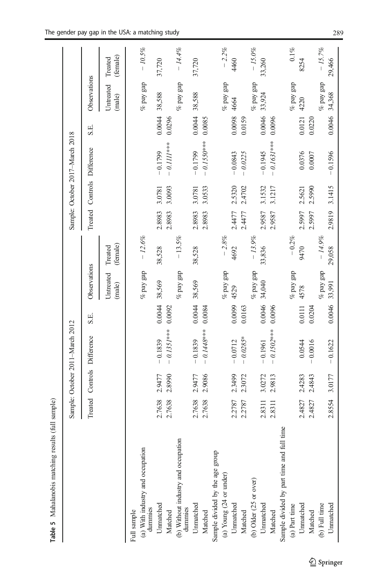<span id="page-18-0"></span>

|                                                |        |        | Sample: October 2011-March 2012 |        |                     |                     |        |        | Sample: October 2017-March 2018 |        |                     |                     |
|------------------------------------------------|--------|--------|---------------------------------|--------|---------------------|---------------------|--------|--------|---------------------------------|--------|---------------------|---------------------|
|                                                |        |        | Treated Controls Difference     | S.E.   | Observations        |                     |        |        | Treated Controls Difference     | S.E.   | Observations        |                     |
|                                                |        |        |                                 |        | Untreated<br>(male) | (female)<br>Treated |        |        |                                 |        | Untreated<br>(male) | (female)<br>Treated |
| Full sample                                    |        |        |                                 |        |                     |                     |        |        |                                 |        |                     |                     |
| (a) With industry and occupation<br>dummies    |        |        |                                 |        | $\%$ pay gap        | $-12.6%$            |        |        |                                 |        | $\%$ pay gap        | $-10.5\%$           |
| Unnatched                                      | 2.7638 | 2.9477 | $-0.1839$                       | 0.0044 | 38,569              | 38,528              | 2.8983 | 3.0781 | $-0.1799$                       | 0.0044 | 38,588              | 37,720              |
| Matched                                        | 2.7638 | 2.8990 | $-0.1351***$                    | 0.0092 |                     |                     | 2.8983 | 3.0093 | $-0.111**$                      | 0.0296 |                     |                     |
| (b) Without industry and occupation<br>dummies |        |        |                                 |        | $\%$ pay gap        | $-13.5%$            |        |        |                                 |        | $\%$ pay gap        | $-14.4%$            |
| Unnatched                                      | 2.7638 | 2.9477 | $-0.1839$                       | 0.0044 | 38,569              | 38,528              | 2.8983 | 3.0781 | $-0.1799$                       | 0.0044 | 38,588              | 37,720              |
| Matched                                        | 2.7638 | 2.9086 | $-0.1448***$                    | 0.0084 |                     |                     | 2.8983 | 3.0533 | $-0.1550***$                    | 0.0085 |                     |                     |
| Sample divided by the age group                |        |        |                                 |        |                     |                     |        |        |                                 |        |                     |                     |
| (a) Young (24 or under)                        |        |        |                                 |        | $\%$ pay gap        | $-2.8%$             |        |        |                                 |        | $\%$ pay gap        | $-2.2%$             |
| Unnatched                                      | 2.2787 | 2.3499 | $-0.0712$                       | 0.0099 | 4529                | 4692                | 2.4477 | 2.5320 | $-0.0843$                       | 0.0098 | 4664                | 4460                |
| Matched                                        | 2.2787 | 2.3072 | $-0.0285*$                      | 0.0163 |                     |                     | 2.4477 | 2.4702 | $-0.0225$                       | 0.0159 |                     |                     |
| (b) Older (25 or over)                         |        |        |                                 |        | $\%$ pay gap        | $-13.9%$            |        |        |                                 |        | $\%$ pay gap        | $-15.0\%$           |
| Unnatched                                      | 2.8311 | 3.0272 | $-0.1961$                       | 0.0046 | 34,040              | 33,836              | 2.9587 | 3.1532 | $-0.1945$                       | 0.0046 | 33,924              | 33,260              |
| Matched                                        | 2.8311 | 2.9813 | $-0.1502***$                    | 0.0096 |                     |                     | 2.9587 | 3.1217 | $-0.1631***$                    | 0.0096 |                     |                     |
| time<br>Sample divided by part time and full   |        |        |                                 |        |                     |                     |        |        |                                 |        |                     |                     |
| (a) Part time                                  |        |        |                                 |        | $\%$ pay gap        | $-0.2\%$            |        |        |                                 |        | $\%$ pay gap        | $0.1\%$             |
| Unmatched                                      | 2.4827 | 2.4283 | 0.0544                          | 0.0111 | 4578                | 9470                | 2.5997 | 2.5621 | 0.0376                          | 0.0121 | 4220                | 8254                |
| Matched                                        | 2.4827 | 2.4843 | $-0.0016$                       | 0.0204 |                     |                     | 2.5997 | 2.5990 | 0.0007                          | 0.0220 |                     |                     |
| (b) Full time                                  |        |        |                                 |        | $\%$ pay gap        | $-14.9%$            |        |        |                                 |        | $%$ pay gap         | $-15.7%$            |
| Unnatched                                      | 2.8554 | 3.0177 | $-0.1622$                       | 0.0046 | 33,991              | 29,058              | 2.9819 | 3.1415 | $-0.1596$                       | 0.0046 | 34,368              | 29,466              |

Table 5 Mahalanobis matching results (full sample) Table 5 Mahalanobis matching results (full sample)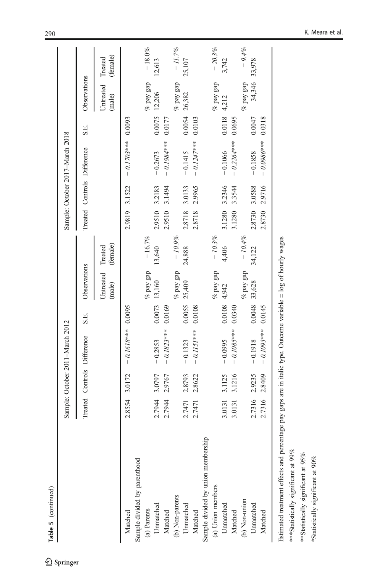| Table 5 (continued)                                                                                                                                    |        |        |                                 |        |                     |                     |         |        |                                 |        |                     |                     |
|--------------------------------------------------------------------------------------------------------------------------------------------------------|--------|--------|---------------------------------|--------|---------------------|---------------------|---------|--------|---------------------------------|--------|---------------------|---------------------|
|                                                                                                                                                        |        |        | Sample: October 2011-March 2012 |        |                     |                     |         |        | Sample: October 2017-March 2018 |        |                     |                     |
|                                                                                                                                                        |        |        | Treated Controls Difference     | S.E.   | Observations        |                     | Treated |        | Controls Difference             | S.E.   | Observations        |                     |
|                                                                                                                                                        |        |        |                                 |        | Untreated<br>(male) | (female)<br>Treated |         |        |                                 |        | Untreated<br>(male) | (female)<br>Treated |
| Matched                                                                                                                                                | 2.8554 | 3.0172 | $-0.1618***$ 0.0095             |        |                     |                     | 2.9819  | 3.1522 | $-0.1703***0.0093$              |        |                     |                     |
| Sample divided by parenthood                                                                                                                           |        |        |                                 |        |                     |                     |         |        |                                 |        |                     |                     |
| (a) Parents                                                                                                                                            |        |        |                                 |        | $\%$ pay gap        | $-16.7%$            |         |        |                                 |        | $\%$ pay gap        | $-18.0%$            |
| Unnatched                                                                                                                                              | 2.7944 | 3.0797 | $-0.2853$                       | 0.0073 | 13,160              | 13,640              | 2.9510  | 3.2183 | $-0.2673$                       | 0.0075 | 12,206              | 12,613              |
| Matched                                                                                                                                                | 2.7944 | 2.9767 | $-0.1823***$                    | 0.0169 |                     |                     | 2.9510  | 3.1494 | $-0.1984***$                    | 0.0177 |                     |                     |
| (b) Non-parents                                                                                                                                        |        |        |                                 |        | $\%$ pay gap        | $-10.9%$            |         |        |                                 |        | $\%$ pay gap        | $-11.7%$            |
| Unnatched                                                                                                                                              | 2.7471 | 2.8793 | $-0.1323$                       | 0.0055 | 25,409              | 24,888              | 2.8718  | 3.0133 | $-0.1415$                       | 0.0054 | 26,382              | 25,107              |
| Matched                                                                                                                                                | 2.7471 | 2.8622 | $-0.1151***$                    | 0.0108 |                     |                     | 2.8718  | 2.9965 | $-0.1247***$                    | 0.0103 |                     |                     |
| Sample divided by union membership                                                                                                                     |        |        |                                 |        |                     |                     |         |        |                                 |        |                     |                     |
| (a) Union members                                                                                                                                      |        |        |                                 |        | $\%$ pay gap        | $-10.3\%$           |         |        |                                 |        | $\%$ pay gap        | $-20.3\%$           |
| Unnatched                                                                                                                                              | 3.0131 | 3.1125 | $-0.0995$                       | 0.0108 | 4,942               | 4,406               | 3.1280  | 3.2346 | $-0.1066$                       | 0.0118 | 4,212               | 3,742               |
| Matched                                                                                                                                                | 3.0131 | 3.1216 | $-0.1085***$                    | 0.0340 |                     |                     | 3.1280  | 3.3544 | $-0.2264***$                    | 0.0695 |                     |                     |
| (b) Non-union                                                                                                                                          |        |        |                                 |        | $\%$ pay gap        | $-10.4\%$           |         |        |                                 |        | $\%$ pay gap        | $-9.4%$             |
| Unnatched                                                                                                                                              | 2.7316 | 2.9235 | $-0.1918$                       | 0.0048 | 33,628              | 34,122              | 2.8730  | 3.0588 | $-0.1858$                       | 0.0047 | 34,346              | 33,978              |
| Matched                                                                                                                                                | 2.7316 | 2.8409 | $-0.1093***$                    | 0.0145 |                     |                     | 2.8730  | 2.9716 | $-0.0986***$                    | 0.0318 |                     |                     |
| Estimated treatment effects and percentage pay gaps are in italic type. Outcome variable = log of hourly wages<br>*** Statistically significant at 99% |        |        |                                 |        |                     |                     |         |        |                                 |        |                     |                     |
|                                                                                                                                                        |        |        |                                 |        |                     |                     |         |        |                                 |        |                     |                     |

\*\*\*Statistically significant at 99% \*\*\*Statistically significant at 99%

\*\*Statistically significant at  $95\%$ \*\*Statistically significant at 95%

\*Statistically significant at 90% \*Statistically significant at 90%

 $\underline{\textcircled{\tiny 2}}$  Springer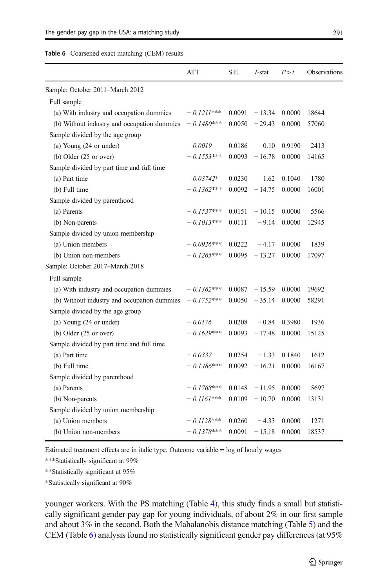#### <span id="page-20-0"></span>Table 6 Coarsened exact matching (CEM) results

|                                             | ATT           | S.E.   | $T$ -stat | P > t  | Observations |
|---------------------------------------------|---------------|--------|-----------|--------|--------------|
| Sample: October 2011-March 2012             |               |        |           |        |              |
| Full sample                                 |               |        |           |        |              |
| (a) With industry and occupation dummies    | $-$ 0.1211*** | 0.0091 | $-13.34$  | 0.0000 | 18644        |
| (b) Without industry and occupation dummies | $-0.1480***$  | 0.0050 | $-29.43$  | 0.0000 | 57060        |
| Sample divided by the age group             |               |        |           |        |              |
| (a) Young (24 or under)                     | 0.0019        | 0.0186 | 0.10      | 0.9190 | 2413         |
| $(b)$ Older $(25$ or over)                  | $-0.1553***$  | 0.0093 | $-16.78$  | 0.0000 | 14165        |
| Sample divided by part time and full time   |               |        |           |        |              |
| (a) Part time                               | $0.03742*$    | 0.0230 | 1.62      | 0.1040 | 1780         |
| (b) Full time                               | $-0.1362***$  | 0.0092 | $-14.75$  | 0.0000 | 16001        |
| Sample divided by parenthood                |               |        |           |        |              |
| (a) Parents                                 | $-0.1537***$  | 0.0151 | $-10.15$  | 0.0000 | 5566         |
| (b) Non-parents                             | $-$ 0.1013*** | 0.0111 | $-9.14$   | 0.0000 | 12945        |
| Sample divided by union membership          |               |        |           |        |              |
| (a) Union members                           | $-0.0926***$  | 0.0222 | $-4.17$   | 0.0000 | 1839         |
| (b) Union non-members                       | $-0.1265***$  | 0.0095 | $-13.27$  | 0.0000 | 17097        |
| Sample: October 2017-March 2018             |               |        |           |        |              |
| Full sample                                 |               |        |           |        |              |
| (a) With industry and occupation dummies    | $-0.1362***$  | 0.0087 | $-15.59$  | 0.0000 | 19692        |
| (b) Without industry and occupation dummies | $-0.1752***$  | 0.0050 | $-35.14$  | 0.0000 | 58291        |
| Sample divided by the age group             |               |        |           |        |              |
| (a) Young (24 or under)                     | $-0.0176$     | 0.0208 | $-0.84$   | 0.3980 | 1936         |
| $(b)$ Older $(25$ or over)                  | $-0.1629***$  | 0.0093 | $-17.48$  | 0.0000 | 15125        |
| Sample divided by part time and full time   |               |        |           |        |              |
| (a) Part time                               | $-0.0337$     | 0.0254 | $-1.33$   | 0.1840 | 1612         |
| (b) Full time                               | $-0.1486***$  | 0.0092 | $-16.21$  | 0.0000 | 16167        |
| Sample divided by parenthood                |               |        |           |        |              |
| (a) Parents                                 | $-0.1768***$  | 0.0148 | $-11.95$  | 0.0000 | 5697         |
| (b) Non-parents                             | $-0.1161***$  | 0.0109 | $-10.70$  | 0.0000 | 13131        |
| Sample divided by union membership          |               |        |           |        |              |
| (a) Union members                           | $-0.1128***$  | 0.0260 | $-4.33$   | 0.0000 | 1271         |
| (b) Union non-members                       | $-0.1378***$  | 0.0091 | $-15.18$  | 0.0000 | 18537        |
|                                             |               |        |           |        |              |

Estimated treatment effects are in italic type. Outcome variable = log of hourly wages

\*\*\*Statistically significant at 99%

\*\*Statistically significant at 95%

\*Statistically significant at 90%

younger workers. With the PS matching (Table [4](#page-16-0)), this study finds a small but statistically significant gender pay gap for young individuals, of about 2% in our first sample and about 3% in the second. Both the Mahalanobis distance matching (Table [5\)](#page-18-0) and the CEM (Table 6) analysis found no statistically significant gender pay differences (at 95%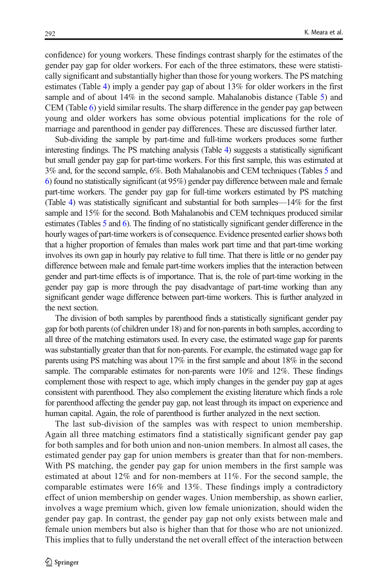confidence) for young workers. These findings contrast sharply for the estimates of the gender pay gap for older workers. For each of the three estimators, these were statistically significant and substantially higher than those for young workers. The PS matching estimates (Table [4\)](#page-16-0) imply a gender pay gap of about 13% for older workers in the first sample and of about 14% in the second sample. Mahalanobis distance (Table [5\)](#page-18-0) and CEM (Table [6\)](#page-20-0) yield similar results. The sharp difference in the gender pay gap between young and older workers has some obvious potential implications for the role of marriage and parenthood in gender pay differences. These are discussed further later.

Sub-dividing the sample by part-time and full-time workers produces some further interesting findings. The PS matching analysis (Table [4\)](#page-16-0) suggests a statistically significant but small gender pay gap for part-time workers. For this first sample, this was estimated at 3% and, for the second sample, 6%. Both Mahalanobis and CEM techniques (Tables [5](#page-18-0) and [6\)](#page-20-0) found no statistically significant (at 95%) gender pay difference between male and female part-time workers. The gender pay gap for full-time workers estimated by PS matching (Table [4](#page-16-0)) was statistically significant and substantial for both samples—14% for the first sample and 15% for the second. Both Mahalanobis and CEM techniques produced similar estimates (Tables [5](#page-18-0) and [6](#page-20-0)). The finding of no statistically significant gender difference in the hourly wages of part-time workers is of consequence. Evidence presented earlier shows both that a higher proportion of females than males work part time and that part-time working involves its own gap in hourly pay relative to full time. That there is little or no gender pay difference between male and female part-time workers implies that the interaction between gender and part-time effects is of importance. That is, the role of part-time working in the gender pay gap is more through the pay disadvantage of part-time working than any significant gender wage difference between part-time workers. This is further analyzed in the next section.

The division of both samples by parenthood finds a statistically significant gender pay gap for both parents (of children under 18) and for non-parents in both samples, according to all three of the matching estimators used. In every case, the estimated wage gap for parents was substantially greater than that for non-parents. For example, the estimated wage gap for parents using PS matching was about 17% in the first sample and about 18% in the second sample. The comparable estimates for non-parents were 10% and 12%. These findings complement those with respect to age, which imply changes in the gender pay gap at ages consistent with parenthood. They also complement the existing literature which finds a role for parenthood affecting the gender pay gap, not least through its impact on experience and human capital. Again, the role of parenthood is further analyzed in the next section.

The last sub-division of the samples was with respect to union membership. Again all three matching estimators find a statistically significant gender pay gap for both samples and for both union and non-union members. In almost all cases, the estimated gender pay gap for union members is greater than that for non-members. With PS matching, the gender pay gap for union members in the first sample was estimated at about 12% and for non-members at 11%. For the second sample, the comparable estimates were 16% and 13%. These findings imply a contradictory effect of union membership on gender wages. Union membership, as shown earlier, involves a wage premium which, given low female unionization, should widen the gender pay gap. In contrast, the gender pay gap not only exists between male and female union members but also is higher than that for those who are not unionized. This implies that to fully understand the net overall effect of the interaction between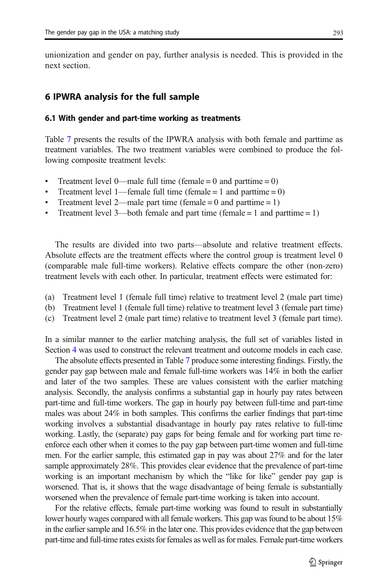<span id="page-22-0"></span>unionization and gender on pay, further analysis is needed. This is provided in the next section.

## 6 IPWRA analysis for the full sample

#### 6.1 With gender and part-time working as treatments

Table [7](#page-23-0) presents the results of the IPWRA analysis with both female and parttime as treatment variables. The two treatment variables were combined to produce the following composite treatment levels:

- Treatment level 0—male full time (female = 0 and parttime = 0)
- Treatment level 1—female full time (female = 1 and parttime =  $0$ )
- Treatment level 2—male part time (female  $= 0$  and parttime  $= 1$ )
- Treatment level 3—both female and part time (female  $= 1$  and parttime  $= 1$ )

The results are divided into two parts—absolute and relative treatment effects. Absolute effects are the treatment effects where the control group is treatment level 0 (comparable male full-time workers). Relative effects compare the other (non-zero) treatment levels with each other. In particular, treatment effects were estimated for:

- (a) Treatment level 1 (female full time) relative to treatment level 2 (male part time)
- (b) Treatment level 1 (female full time) relative to treatment level 3 (female part time)
- (c) Treatment level 2 (male part time) relative to treatment level 3 (female part time).

In a similar manner to the earlier matching analysis, the full set of variables listed in Section [4](#page-9-0) was used to construct the relevant treatment and outcome models in each case.

The absolute effects presented in Table [7](#page-23-0) produce some interesting findings. Firstly, the gender pay gap between male and female full-time workers was 14% in both the earlier and later of the two samples. These are values consistent with the earlier matching analysis. Secondly, the analysis confirms a substantial gap in hourly pay rates between part-time and full-time workers. The gap in hourly pay between full-time and part-time males was about 24% in both samples. This confirms the earlier findings that part-time working involves a substantial disadvantage in hourly pay rates relative to full-time working. Lastly, the (separate) pay gaps for being female and for working part time reenforce each other when it comes to the pay gap between part-time women and full-time men. For the earlier sample, this estimated gap in pay was about 27% and for the later sample approximately 28%. This provides clear evidence that the prevalence of part-time working is an important mechanism by which the "like for like" gender pay gap is worsened. That is, it shows that the wage disadvantage of being female is substantially worsened when the prevalence of female part-time working is taken into account.

For the relative effects, female part-time working was found to result in substantially lower hourly wages compared with all female workers. This gap was found to be about 15% in the earlier sample and 16.5% in the later one. This provides evidence that the gap between part-time and full-time rates exists for females as well as for males. Female part-time workers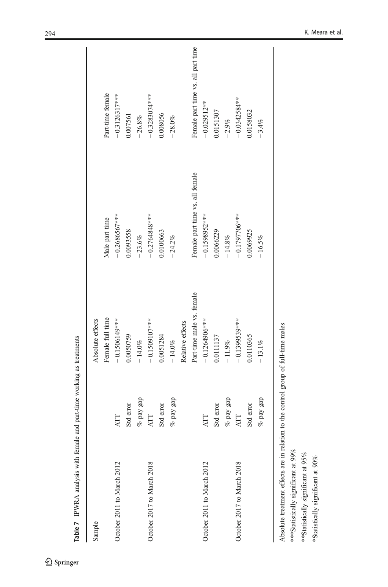| Part-time female<br>$-0.3126317***$<br>$-0.3283074***$<br>$-0.0342584**$<br>$-0.029512**$<br>0.0151307<br>0.0158032<br>0.008056<br>0.007561<br>$-26.8%$<br>$-28.0%$<br>$-2.9%$<br>$-3.4%$<br>Female part time vs. all female<br>$-0.1598952***$<br>$-0.1797706***$<br>$-0.2764848***$<br>$-0.2686567***$<br>Male part time<br>0.0066229<br>0.0093558<br>0.0100663<br>0.0069925<br>$-14.8\%$<br>$-23.6%$<br>$-16.5%$<br>$-24.2%$<br>Part-time male vs. female<br>Female full time<br>$-0.1264906**$<br>$-0.1399539***$<br>Absolute effects<br>$-0.1509107***$<br>$-0.1506149***$<br>Relative effects<br>0.0050759<br>0.0051284<br>0.0111137<br>0.0110365<br>$-14.0\%$<br>$-11.9\%$<br>$-14.0\%$<br>$-13.1%$<br>$\%$ pay gap<br>$\%$ pay gap<br>$\%$ pay gap<br>$\%$ pay gap<br>Std error<br>Std error<br>Std error<br>Std error<br><b>ATT</b><br>ATT<br>ATT<br>ĀТ<br>October 2017 to March 2018<br>October 2017 to March 2018<br>October 2011 to March 2012<br>October 2011 to March 2012<br>Sample |  |  |                                    |
|----------------------------------------------------------------------------------------------------------------------------------------------------------------------------------------------------------------------------------------------------------------------------------------------------------------------------------------------------------------------------------------------------------------------------------------------------------------------------------------------------------------------------------------------------------------------------------------------------------------------------------------------------------------------------------------------------------------------------------------------------------------------------------------------------------------------------------------------------------------------------------------------------------------------------------------------------------------------------------------------------|--|--|------------------------------------|
|                                                                                                                                                                                                                                                                                                                                                                                                                                                                                                                                                                                                                                                                                                                                                                                                                                                                                                                                                                                                    |  |  |                                    |
|                                                                                                                                                                                                                                                                                                                                                                                                                                                                                                                                                                                                                                                                                                                                                                                                                                                                                                                                                                                                    |  |  |                                    |
|                                                                                                                                                                                                                                                                                                                                                                                                                                                                                                                                                                                                                                                                                                                                                                                                                                                                                                                                                                                                    |  |  |                                    |
|                                                                                                                                                                                                                                                                                                                                                                                                                                                                                                                                                                                                                                                                                                                                                                                                                                                                                                                                                                                                    |  |  |                                    |
|                                                                                                                                                                                                                                                                                                                                                                                                                                                                                                                                                                                                                                                                                                                                                                                                                                                                                                                                                                                                    |  |  |                                    |
|                                                                                                                                                                                                                                                                                                                                                                                                                                                                                                                                                                                                                                                                                                                                                                                                                                                                                                                                                                                                    |  |  |                                    |
|                                                                                                                                                                                                                                                                                                                                                                                                                                                                                                                                                                                                                                                                                                                                                                                                                                                                                                                                                                                                    |  |  |                                    |
|                                                                                                                                                                                                                                                                                                                                                                                                                                                                                                                                                                                                                                                                                                                                                                                                                                                                                                                                                                                                    |  |  |                                    |
|                                                                                                                                                                                                                                                                                                                                                                                                                                                                                                                                                                                                                                                                                                                                                                                                                                                                                                                                                                                                    |  |  |                                    |
|                                                                                                                                                                                                                                                                                                                                                                                                                                                                                                                                                                                                                                                                                                                                                                                                                                                                                                                                                                                                    |  |  | Female part time vs. all part time |
|                                                                                                                                                                                                                                                                                                                                                                                                                                                                                                                                                                                                                                                                                                                                                                                                                                                                                                                                                                                                    |  |  |                                    |
|                                                                                                                                                                                                                                                                                                                                                                                                                                                                                                                                                                                                                                                                                                                                                                                                                                                                                                                                                                                                    |  |  |                                    |
|                                                                                                                                                                                                                                                                                                                                                                                                                                                                                                                                                                                                                                                                                                                                                                                                                                                                                                                                                                                                    |  |  |                                    |
|                                                                                                                                                                                                                                                                                                                                                                                                                                                                                                                                                                                                                                                                                                                                                                                                                                                                                                                                                                                                    |  |  |                                    |
|                                                                                                                                                                                                                                                                                                                                                                                                                                                                                                                                                                                                                                                                                                                                                                                                                                                                                                                                                                                                    |  |  |                                    |
|                                                                                                                                                                                                                                                                                                                                                                                                                                                                                                                                                                                                                                                                                                                                                                                                                                                                                                                                                                                                    |  |  |                                    |
|                                                                                                                                                                                                                                                                                                                                                                                                                                                                                                                                                                                                                                                                                                                                                                                                                                                                                                                                                                                                    |  |  |                                    |
|                                                                                                                                                                                                                                                                                                                                                                                                                                                                                                                                                                                                                                                                                                                                                                                                                                                                                                                                                                                                    |  |  |                                    |
| *** Statistically significant at 99%                                                                                                                                                                                                                                                                                                                                                                                                                                                                                                                                                                                                                                                                                                                                                                                                                                                                                                                                                               |  |  |                                    |

Table 7 IPWRA analysis with female and part-time working as treatments Table 7 IPWRA analysis with female and part-time working as treatments

<span id="page-23-0"></span>

\*\*\*Statistically significant at 99% \*\*Statistically significant at 95% \*Statistically significant at 90%

\*\*Statistically significant at 95% \*Statistically significant at 90%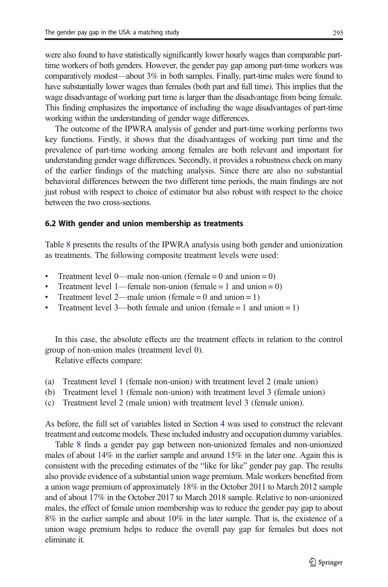were also found to have statistically significantly lower hourly wages than comparable parttime workers of both genders. However, the gender pay gap among part-time workers was comparatively modest—about 3% in both samples. Finally, part-time males were found to have substantially lower wages than females (both part and full time). This implies that the wage disadvantage of working part time is larger than the disadvantage from being female. This finding emphasizes the importance of including the wage disadvantages of part-time working within the understanding of gender wage differences.

The outcome of the IPWRA analysis of gender and part-time working performs two key functions. Firstly, it shows that the disadvantages of working part time and the prevalence of part-time working among females are both relevant and important for understanding gender wage differences. Secondly, it provides a robustness check on many of the earlier findings of the matching analysis. Since there are also no substantial behavioral differences between the two different time periods, the main findings are not just robust with respect to choice of estimator but also robust with respect to the choice between the two cross-sections.

#### 6.2 With gender and union membership as treatments

Table [8](#page-25-0) presents the results of the IPWRA analysis using both gender and unionization as treatments. The following composite treatment levels were used:

- Treatment level 0—male non-union (female = 0 and union = 0)
- Treatment level 1—female non-union (female  $= 1$  and union  $= 0$ )
- Treatment level 2—male union (female = 0 and union = 1)
- Treatment level 3—both female and union (female  $= 1$  and union  $= 1$ )

In this case, the absolute effects are the treatment effects in relation to the control group of non-union males (treatment level 0).

Relative effects compare:

- (a) Treatment level 1 (female non-union) with treatment level 2 (male union)
- (b) Treatment level 1 (female non-union) with treatment level 3 (female union)
- (c) Treatment level 2 (male union) with treatment level 3 (female union).

As before, the full set of variables listed in Section [4](#page-9-0) was used to construct the relevant treatment and outcome models. These included industry and occupation dummy variables.

Table [8](#page-25-0) finds a gender pay gap between non-unionized females and non-unionized males of about  $14\%$  in the earlier sample and around  $15\%$  in the later one. Again this is consistent with the preceding estimates of the "like for like" gender pay gap. The results also provide evidence of a substantial union wage premium. Male workers benefited from a union wage premium of approximately 18% in the October 2011 to March 2012 sample and of about 17% in the October 2017 to March 2018 sample. Relative to non-unionized males, the effect of female union membership was to reduce the gender pay gap to about 8% in the earlier sample and about 10% in the later sample. That is, the existence of a union wage premium helps to reduce the overall pay gap for females but does not eliminate it.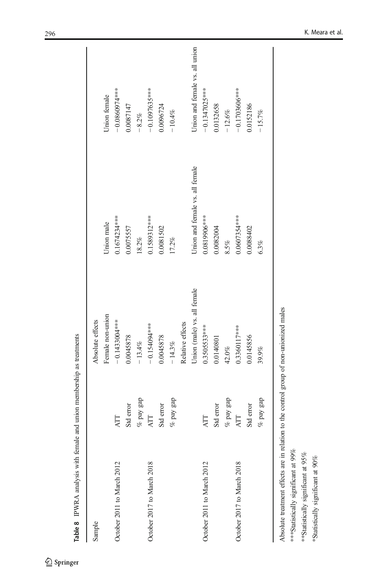<span id="page-25-0"></span>

| Sample                     |              | Absolute effects            |                                 |                                |
|----------------------------|--------------|-----------------------------|---------------------------------|--------------------------------|
|                            |              | Female non-union            | Union male                      | Jnion female                   |
| October 2011 to March 2012 | AТТ          | $-0.1433004***$             | 0.1674234***                    | $-0.0860974***$                |
|                            | Std error    | 0.0045878                   | 0.0075557                       | 0.0087147                      |
|                            | $\%$ pay gap | $-13.4%$                    | $18.2\%$                        | $-8.2%$                        |
| October 2017 to March 2018 | ATT          | $-0.154094***$              | 0.1589312***                    | $-0.1097635***$                |
|                            | Std error    | 0.0045878                   | 0.0081502                       | 0.0096724                      |
|                            | $\%$ pay gap | $-14.3%$                    | 17.2%                           | $-10.4%$                       |
|                            |              | Relative effects            |                                 |                                |
|                            |              | Union (male) vs. all female | Union and female vs. all female | Union and female vs. all union |
| October 2011 to March 2012 | ATT          | 0.3505533***                | $0.0819906***$                  | $-0.1347025***$                |
|                            | Std error    | 0.0140801                   | 0.0082004                       | 0.0132658                      |
|                            | $\%$ pay gap | 42.0%                       | 8.5%                            | $-12.6\%$                      |
| October 2017 to March 2018 | ATT          | 0.3360117***                | 0.0607354***                    | $-0.1703606***$                |
|                            | Std error    | 0.0145856                   | 0.0088402                       | 0.0152186                      |
|                            | $\%$ pay gap | 39.9%                       | $6.3\%$                         | $-15.7%$                       |

Table 8 IPWRA analysis with female and union membership as treatments Table 8 IPWRA analysis with female and union membership as treatments Absolute treatment effects are in relation to the control group of non-unionized males \*\*\* Statistically significant at 99% \*\*\*Statistically significant at 99%

\*\*Statistically significant at 95% \*\*Statistically significant at 95%

\*Statistically significant at 90% \*Statistically significant at 90%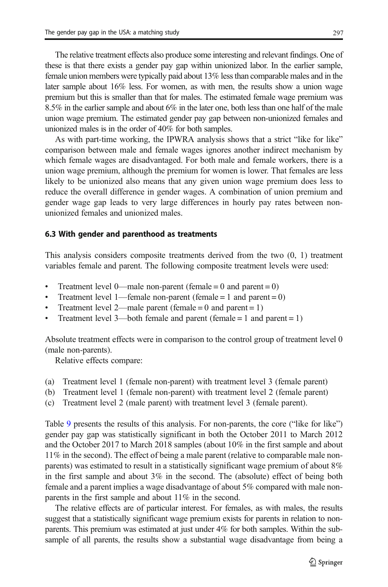The relative treatment effects also produce some interesting and relevant findings. One of these is that there exists a gender pay gap within unionized labor. In the earlier sample, female union members were typically paid about 13% less than comparable males and in the later sample about 16% less. For women, as with men, the results show a union wage premium but this is smaller than that for males. The estimated female wage premium was 8.5% in the earlier sample and about 6% in the later one, both less than one half of the male union wage premium. The estimated gender pay gap between non-unionized females and unionized males is in the order of 40% for both samples.

As with part-time working, the IPWRA analysis shows that a strict "like for like" comparison between male and female wages ignores another indirect mechanism by which female wages are disadvantaged. For both male and female workers, there is a union wage premium, although the premium for women is lower. That females are less likely to be unionized also means that any given union wage premium does less to reduce the overall difference in gender wages. A combination of union premium and gender wage gap leads to very large differences in hourly pay rates between nonunionized females and unionized males.

#### 6.3 With gender and parenthood as treatments

This analysis considers composite treatments derived from the two (0, 1) treatment variables female and parent. The following composite treatment levels were used:

- $\bullet$  Treatment level 0—male non-parent (female = 0 and parent = 0)
- Treatment level 1—female non-parent (female  $= 1$  and parent  $= 0$ )
- Treatment level 2—male parent (female  $= 0$  and parent  $= 1$ )
- Treatment level 3—both female and parent (female  $= 1$  and parent  $= 1$ )

Absolute treatment effects were in comparison to the control group of treatment level 0 (male non-parents).

Relative effects compare:

- (a) Treatment level 1 (female non-parent) with treatment level 3 (female parent)
- (b) Treatment level 1 (female non-parent) with treatment level 2 (female parent)
- (c) Treatment level 2 (male parent) with treatment level 3 (female parent).

Table [9](#page-27-0) presents the results of this analysis. For non-parents, the core ("like for like") gender pay gap was statistically significant in both the October 2011 to March 2012 and the October 2017 to March 2018 samples (about 10% in the first sample and about 11% in the second). The effect of being a male parent (relative to comparable male nonparents) was estimated to result in a statistically significant wage premium of about 8% in the first sample and about 3% in the second. The (absolute) effect of being both female and a parent implies a wage disadvantage of about 5% compared with male nonparents in the first sample and about 11% in the second.

The relative effects are of particular interest. For females, as with males, the results suggest that a statistically significant wage premium exists for parents in relation to nonparents. This premium was estimated at just under 4% for both samples. Within the subsample of all parents, the results show a substantial wage disadvantage from being a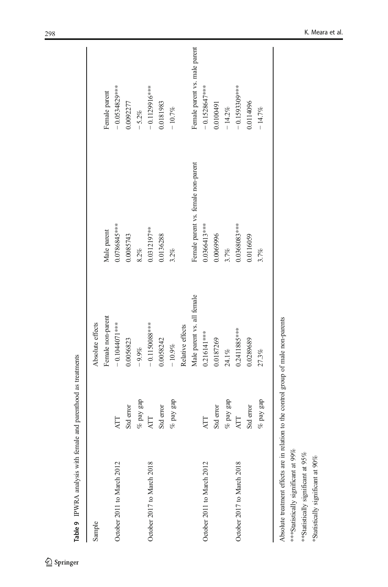| Sample                            | Absolute effects           |                                     |                               |
|-----------------------------------|----------------------------|-------------------------------------|-------------------------------|
|                                   |                            |                                     |                               |
|                                   | Female non-parent          | Male parent                         | Female parent                 |
| ATT<br>October 2011 to March 2012 | $-0.1044071***$            | 0.0786845***                        | $-0.0534829***$               |
| Std error                         | 0.0056823                  | 0.0085743                           | 0.0092277                     |
| $\%$ pay gap                      | $-9.9%$                    | $8.2\%$                             | $-5.2%$                       |
| ATT<br>October 2017 to March 2018 | $-0.1150088***$            | 0.0312197**                         | $-0.1129916***$               |
| Std error                         | 0.0058242                  | 0.0136288                           | 0.0181983                     |
| $\%$ pay gap                      | $-10.9\%$                  | 3.2%                                | $-10.7%$                      |
|                                   | Relative effects           |                                     |                               |
|                                   | Male parent vs. all female | Female parent vs. female non-parent | Female parent vs. male parent |
| ATT<br>October 2011 to March 2012 | $0.216141***$              | 0.0366413***                        | $-0.1528647***$               |
| Std error                         | 0.0187269                  | 0.0069996                           | 0.0100491                     |
| $\%$ pay gap                      | 24.1%                      | 3.7%                                | $-14.2%$                      |
| ATT<br>October 2017 to March 2018 | $0.2411885***$             | 0.0368083***                        | $-0.1593309***$               |
| Std error                         | 0.0289689                  | 0.0116059                           | 0.0114096                     |
| $\%$ pay gap                      | 27.3%                      | 3.7%                                | $-14.7%$                      |

Table 9 IPWRA analysis with female and parenthood as treatments Table 9 IPWRA analysis with female and parenthood as treatments

<span id="page-27-0"></span>

\*\*\*Statistically significant at 99% \*\*Statistically significant at 95% \*Statistically significant at 90%

\*\*\* Statistically significant at 99% \*\*Statistically significant at 95% \*Statistically significant at 90%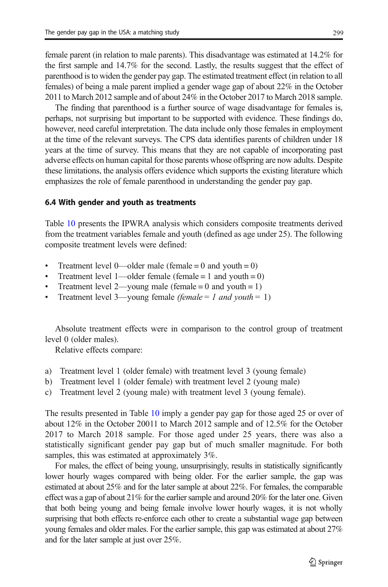female parent (in relation to male parents). This disadvantage was estimated at 14.2% for the first sample and 14.7% for the second. Lastly, the results suggest that the effect of parenthood is to widen the gender pay gap. The estimated treatment effect (in relation to all females) of being a male parent implied a gender wage gap of about 22% in the October 2011 to March 2012 sample and of about 24% in the October 2017 to March 2018 sample.

The finding that parenthood is a further source of wage disadvantage for females is, perhaps, not surprising but important to be supported with evidence. These findings do, however, need careful interpretation. The data include only those females in employment at the time of the relevant surveys. The CPS data identifies parents of children under 18 years at the time of survey. This means that they are not capable of incorporating past adverse effects on human capital for those parents whose offspring are now adults. Despite these limitations, the analysis offers evidence which supports the existing literature which emphasizes the role of female parenthood in understanding the gender pay gap.

#### 6.4 With gender and youth as treatments

Table [10](#page-29-0) presents the IPWRA analysis which considers composite treatments derived from the treatment variables female and youth (defined as age under 25). The following composite treatment levels were defined:

- Treatment level 0—older male (female = 0 and youth = 0)
- Treatment level 1—older female (female = 1 and youth = 0)
- Treatment level 2—young male (female  $= 0$  and youth  $= 1$ )
- Treatment level 3—young female (female = 1 and youth = 1)

Absolute treatment effects were in comparison to the control group of treatment level 0 (older males).

Relative effects compare:

- a) Treatment level 1 (older female) with treatment level 3 (young female)
- b) Treatment level 1 (older female) with treatment level 2 (young male)
- c) Treatment level 2 (young male) with treatment level 3 (young female).

The results presented in Table [10](#page-29-0) imply a gender pay gap for those aged 25 or over of about 12% in the October 20011 to March 2012 sample and of 12.5% for the October 2017 to March 2018 sample. For those aged under 25 years, there was also a statistically significant gender pay gap but of much smaller magnitude. For both samples, this was estimated at approximately 3%.

For males, the effect of being young, unsurprisingly, results in statistically significantly lower hourly wages compared with being older. For the earlier sample, the gap was estimated at about 25% and for the later sample at about 22%. For females, the comparable effect was a gap of about 21% for the earlier sample and around 20% for the later one. Given that both being young and being female involve lower hourly wages, it is not wholly surprising that both effects re-enforce each other to create a substantial wage gap between young females and older males. For the earlier sample, this gap was estimated at about 27% and for the later sample at just over 25%.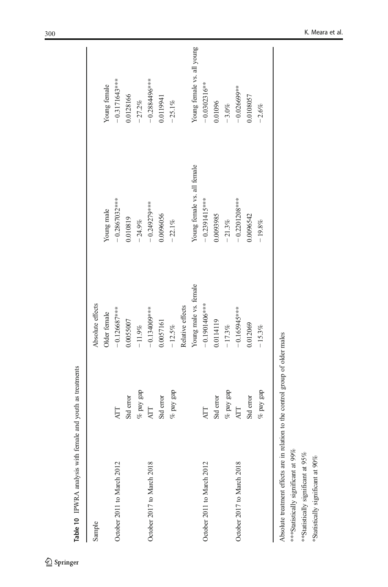<span id="page-29-0"></span>

| Sample                     |              | Absolute effects      |                             |                            |
|----------------------------|--------------|-----------------------|-----------------------------|----------------------------|
|                            |              | Older female          | Young male                  | Young female               |
| October 2011 to March 2012 | <b>ATT</b>   | $-0.126687$ ***       | $-0.2867032***$             | $-0.3171643***$            |
|                            | Std error    | 0.0055007             | 0.010819                    | 0.0128166                  |
|                            | $\%$ pay gap | $-11.9\%$             | $-24.9%$                    | 27.2%                      |
| October 2017 to March 2018 | <b>ATT</b>   | $-0.134000$ **        | $-0.249279$ ***             | $-0.2884496***$            |
|                            | Std error    | 0.0057161             | 0.0096056                   | 0.0119941                  |
|                            | $\%$ pay gap | $-12.5%$              | $-22.1%$                    | $-25.1%$                   |
|                            |              | Relative effects      |                             |                            |
|                            |              | Young male vs. female | Young female vs. all female | Young female vs. all young |
| October 2011 to March 2012 | <b>ATT</b>   | $-0.1901406***$       | $-0.2391415***$             | $-0.0302316***$            |
|                            | Std error    | 0.0114119             | 0.0093985                   | 0.01096                    |
|                            | $\%$ pay gap | $-17.3%$              | $-21.3%$                    | $-3.0\%$                   |
| October 2017 to March 2018 | ATT          | $-0.165945***$        | $-0.2201208***$             | $-0.026699***$             |
|                            | Std error    | 0.012069              | 0.0096542                   | 0.0108057                  |
|                            | $\%$ pay gap | $-15.3%$              | $-19.8%$                    | $-2.6%$                    |

Absolute treatment effects are in relation to the control group of older males Absolute treatment effects are in relation to the control group of older males

\*\*\* Statistically significant at 99% \*\*\*Statistically significant at 99%

\*\*Statistically significant at 95% \*\*Statistically significant at 95%

\*Statistically significant at 90% \*Statistically significant at 90%

 $\underline{\textcircled{\tiny 2}}$  Springer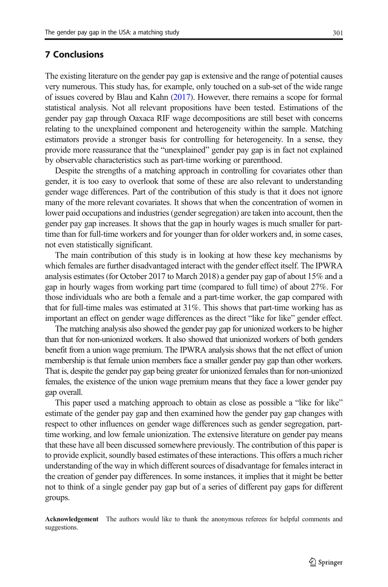<span id="page-30-0"></span>The existing literature on the gender pay gap is extensive and the range of potential causes very numerous. This study has, for example, only touched on a sub-set of the wide range of issues covered by Blau and Kahn [\(2017\)](#page-33-0). However, there remains a scope for formal statistical analysis. Not all relevant propositions have been tested. Estimations of the gender pay gap through Oaxaca RIF wage decompositions are still beset with concerns relating to the unexplained component and heterogeneity within the sample. Matching estimators provide a stronger basis for controlling for heterogeneity. In a sense, they provide more reassurance that the "unexplained" gender pay gap is in fact not explained by observable characteristics such as part-time working or parenthood.

Despite the strengths of a matching approach in controlling for covariates other than gender, it is too easy to overlook that some of these are also relevant to understanding gender wage differences. Part of the contribution of this study is that it does not ignore many of the more relevant covariates. It shows that when the concentration of women in lower paid occupations and industries (gender segregation) are taken into account, then the gender pay gap increases. It shows that the gap in hourly wages is much smaller for parttime than for full-time workers and for younger than for older workers and, in some cases, not even statistically significant.

The main contribution of this study is in looking at how these key mechanisms by which females are further disadvantaged interact with the gender effect itself. The IPWRA analysis estimates (for October 2017 to March 2018) a gender pay gap of about 15% and a gap in hourly wages from working part time (compared to full time) of about 27%. For those individuals who are both a female and a part-time worker, the gap compared with that for full-time males was estimated at 31%. This shows that part-time working has as important an effect on gender wage differences as the direct "like for like" gender effect.

The matching analysis also showed the gender pay gap for unionized workers to be higher than that for non-unionized workers. It also showed that unionized workers of both genders benefit from a union wage premium. The IPWRA analysis shows that the net effect of union membership is that female union members face a smaller gender pay gap than other workers. That is, despite the gender pay gap being greater for unionized females than for non-unionized females, the existence of the union wage premium means that they face a lower gender pay gap overall.

This paper used a matching approach to obtain as close as possible a "like for like" estimate of the gender pay gap and then examined how the gender pay gap changes with respect to other influences on gender wage differences such as gender segregation, parttime working, and low female unionization. The extensive literature on gender pay means that these have all been discussed somewhere previously. The contribution of this paper is to provide explicit, soundly based estimates of these interactions. This offers a much richer understanding of the way in which different sources of disadvantage for females interact in the creation of gender pay differences. In some instances, it implies that it might be better not to think of a single gender pay gap but of a series of different pay gaps for different groups.

Acknowledgement The authors would like to thank the anonymous referees for helpful comments and suggestions.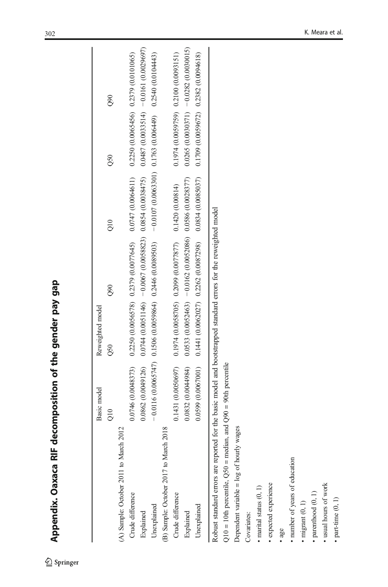| aga i                                                        |
|--------------------------------------------------------------|
| j                                                            |
| יירים מוסוס אי היי                                           |
| of the                                                       |
|                                                              |
| <b>SIE Accountant</b>                                        |
| ו<br>ו<br>ׅׅׅ֧֧֧֧֚֚֚֚֚֚֚֚֚֚֚֚֚֚֚֚֚֚֚֚֚֚֚֚֚֚֬֡֡֡֓֡֓֡֓֡֓֝֓֝֓֝֬ |
| CJEXEL                                                       |
| <b>Nino modia</b>                                            |

 $\underline{\textcircled{\tiny 2}}$  Springer

<span id="page-31-0"></span>

|                                                                                                                   | Basic model       | Reweighted model |                                                                                  |                                                                                                                                                                                                                                |                                     |                                         |
|-------------------------------------------------------------------------------------------------------------------|-------------------|------------------|----------------------------------------------------------------------------------|--------------------------------------------------------------------------------------------------------------------------------------------------------------------------------------------------------------------------------|-------------------------------------|-----------------------------------------|
|                                                                                                                   | ЭŐ                | $\overline{050}$ | $\frac{80}{2}$                                                                   | $\frac{1}{2}$                                                                                                                                                                                                                  | $\overline{0}$                      | $\frac{80}{2}$                          |
| (A) Sample: October 2011 to March                                                                                 |                   |                  |                                                                                  |                                                                                                                                                                                                                                |                                     |                                         |
| Crude difference                                                                                                  |                   |                  |                                                                                  | $0.2250$ $0.2379$ $0.2250$ $0.2250$ $0.2250$ $0.2250$ $0.2250$ $0.2250$ $0.2250$ $0.2250$ $0.2379$ $0.2379$ $0.0379$ $0.2379$ $0.2379$ $0.2379$ $0.2379$ $0.2379$ $0.2379$ $0.2379$ $0.2379$ $0.2379$ $0.2379$ $0.2379$ $0.23$ |                                     |                                         |
| Explained                                                                                                         |                   |                  | $0.0862(0.0049126)$ $0.0744(0.0051146)$ $-0.0067(0.0058823)$ $0.0854(0.0038475)$ |                                                                                                                                                                                                                                |                                     | $0.0487(0.0033514) - 0.0161(0.0029697)$ |
| Unexplained                                                                                                       |                   |                  |                                                                                  | (ftt4010(0) 05:210 (6#900(0) \$9.110 (105:5900(0) z010'0 — (6956800(0) 9#270 (4986500(0) 90510(LALS900(0) 9110'0 —                                                                                                             |                                     |                                         |
| 2018<br>(B) Sample: October 2017 to March                                                                         |                   |                  |                                                                                  |                                                                                                                                                                                                                                |                                     |                                         |
| Crude difference                                                                                                  |                   |                  | $0.1431(0.0050697)$ $0.1974(0.0058705)$ $0.2099(0.0077877)$ $0.1420(0.00814)$    |                                                                                                                                                                                                                                | 0.1974(0.0059759) 0.2100(0.0093151) |                                         |
| Explained                                                                                                         | 0.0832(0.0044984) |                  | $0.0533(0.0052463) - 0.0162(0.0052086) 0.0586(0.0028377)$                        |                                                                                                                                                                                                                                |                                     | $0.0265(0.0030371) - 0.0282(0.0030015)$ |
| Unexplained                                                                                                       |                   |                  | $0.0599(0.0067001)$ $0.1441(0.0062027)$ $0.2262(0.0087298)$ $0.0834(0.0085037)$  |                                                                                                                                                                                                                                | 0.1709(0.0059672) 0.2382(0.0094618) |                                         |
| Robust standard errors are reported for the basic model and bootstrapped standard errors for the reweighted model |                   |                  |                                                                                  |                                                                                                                                                                                                                                |                                     |                                         |

Robust standard errors are reported for the basic model and bootstrapped standard errors for the reweighted model |ଛ

 $Q10 = 10$ th percentile,  $Q50$  = median, and  $Q90 = 90$ th percentile Q10 = 10th percentile, Q50 = median, and Q90 = 90th percentile

Dependent variable = log of hourly wages Dependent variable  $=$  log of hourly wages

Covariates: Covariates:

 $\bullet$  marital status  $(0,1)$ marital status (0, 1)

• expected experience expected experience

• age

• number of years of education number of years of education

 $\bullet$  migrant  $(0,1)$  $\cdot$  migrant  $(0, 1)$ 

 $\bullet$  parenthood  $(0,1)$ parenthood (0, 1)

 $\bullet$ usual hours of work usual hours of work

 $\bullet$  part-time  $(0,1)$  $\bullet$  part-time  $(0, 1)$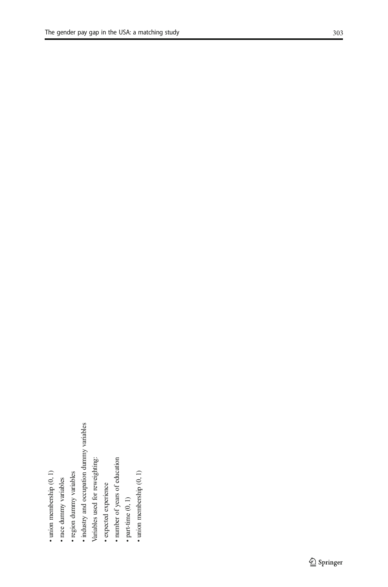- · race dummy variables race dummy variables
- · region dummy variables region dummy variables
- industry and occupation dummy variables industry and occupation dummy variables
- Variables used for reweighting: Variables used for reweighting:
- · expected experience expected experience
- · number of years of education number of years of education
	- $\bullet$  part-time  $(0,1)$ part-time (0, 1)
- $\bullet$ union membership $(0,1)$ union membership (0, 1)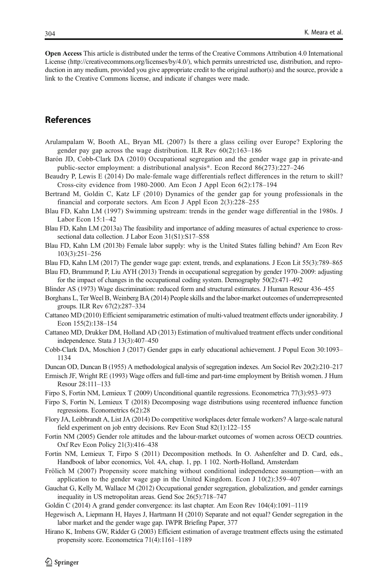<span id="page-33-0"></span>Open Access This article is distributed under the terms of the Creative Commons Attribution 4.0 International License (http://creativecommons.org/licenses/by/4.0/), which permits unrestricted use, distribution, and reproduction in any medium, provided you give appropriate credit to the original author(s) and the source, provide a link to the Creative Commons license, and indicate if changes were made.

# References

- Arulampalam W, Booth AL, Bryan ML (2007) Is there a glass ceiling over Europe? Exploring the gender pay gap across the wage distribution. ILR Rev 60(2):163–186
- Barón JD, Cobb-Clark DA (2010) Occupational segregation and the gender wage gap in private-and public-sector employment: a distributional analysis\*. Econ Record 86(273):227–246
- Beaudry P, Lewis E (2014) Do male-female wage differentials reflect differences in the return to skill? Cross-city evidence from 1980-2000. Am Econ J Appl Econ 6(2):178–194
- Bertrand M, Goldin C, Katz LF (2010) Dynamics of the gender gap for young professionals in the financial and corporate sectors. Am Econ J Appl Econ 2(3):228–255
- Blau FD, Kahn LM (1997) Swimming upstream: trends in the gender wage differential in the 1980s. J Labor Econ 15:1–42
- Blau FD, Kahn LM (2013a) The feasibility and importance of adding measures of actual experience to crosssectional data collection. J Labor Econ 31(S1):S17-S58
- Blau FD, Kahn LM (2013b) Female labor supply: why is the United States falling behind? Am Econ Rev 103(3):251–256
- Blau FD, Kahn LM (2017) The gender wage gap: extent, trends, and explanations. J Econ Lit 55(3):789–865

Blau FD, Brummund P, Liu AYH (2013) Trends in occupational segregation by gender 1970–2009: adjusting for the impact of changes in the occupational coding system. Demography 50(2):471–492

- Blinder AS (1973) Wage discrimination: reduced form and structural estimates. J Human Resour 436–455
- Borghans L, Ter Weel B, Weinberg BA (2014) People skills and the labor-market outcomes of underrepresented groups. ILR Rev 67(2):287–334
- Cattaneo MD (2010) Efficient semiparametric estimation of multi-valued treatment effects under ignorability. J Econ 155(2):138–154
- Cattaneo MD, Drukker DM, Holland AD (2013) Estimation of multivalued treatment effects under conditional independence. Stata J 13(3):407–450
- Cobb-Clark DA, Moschion J (2017) Gender gaps in early educational achievement. J Popul Econ 30:1093– 1134

Duncan OD, Duncan B (1955) A methodological analysis of segregation indexes. Am Sociol Rev 20(2):210–217

- Ermisch JF, Wright RE (1993) Wage offers and full-time and part-time employment by British women. J Hum Resour 28:111–133
- Firpo S, Fortin NM, Lemieux T (2009) Unconditional quantile regressions. Econometrica 77(3):953–973
- Firpo S, Fortin N, Lemieux T (2018) Decomposing wage distributions using recentered influence function regressions. Econometrics 6(2):28
- Flory JA, Leibbrandt A, List JA (2014) Do competitive workplaces deter female workers? A large-scale natural field experiment on job entry decisions. Rev Econ Stud 82(1):122–155
- Fortin NM (2005) Gender role attitudes and the labour-market outcomes of women across OECD countries. Oxf Rev Econ Policy 21(3):416–438
- Fortin NM, Lemieux T, Firpo S (2011) Decomposition methods. In O. Ashenfelter and D. Card, eds., Handbook of labor economics, Vol. 4A, chap. 1, pp. 1 102. North-Holland, Amsterdam
- Frölich M (2007) Propensity score matching without conditional independence assumption—with an application to the gender wage gap in the United Kingdom. Econ J 10(2):359–407
- Gauchat G, Kelly M, Wallace M (2012) Occupational gender segregation, globalization, and gender earnings inequality in US metropolitan areas. Gend Soc 26(5):718–747

Goldin C (2014) A grand gender convergence: its last chapter. Am Econ Rev 104(4):1091–1119

- Hegewisch A, Liepmann H, Hayes J, Hartmann H (2010) Separate and not equal? Gender segregation in the labor market and the gender wage gap. IWPR Briefing Paper, 377
- Hirano K, Imbens GW, Ridder G (2003) Efficient estimation of average treatment effects using the estimated propensity score. Econometrica 71(4):1161–1189